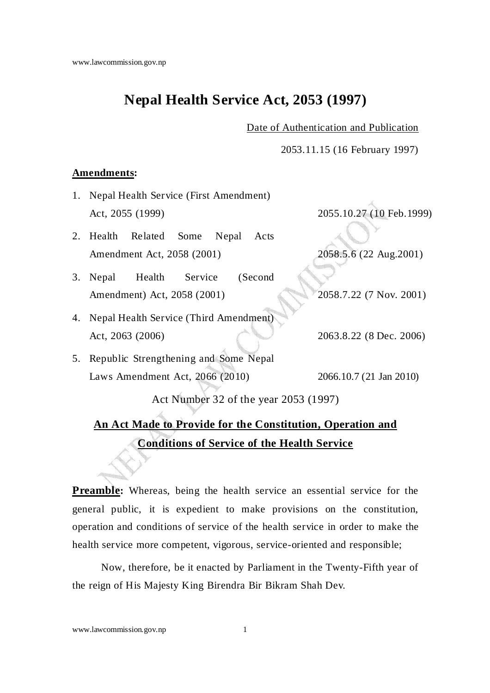# **Nepal Health Service Act, 2053 (1997)**

Date of Authentication and Publication

2053.11.15 (16 February 1997)

#### **Amendments:**

- 1. Nepal Health Service (First Amendment) Act, 2055 (1999) 2055.10.27 (10 Feb.1999)
- 2. Health Related Some Nepal Acts Amendment Act, 2058 (2001) 2058.5.6 (22 Aug.2001)
- 3. Nepal Health Service (Second Amendment) Act, 2058 (2001) 2058.7.22 (7 Nov. 2001)
- 4. Nepal Health Service (Third Amendment) Act, 2063 (2006) 2063.8.22 (8 Dec. 2006)
- 5. Republic Strengthening and Some Nepal Laws Amendment Act, 2066 (2010) 2066.10.7 (21 Jan 2010)

Act Number 32 of the year 2053 (1997)

# **An Act Made to Provide for the Constitution, Operation and Conditions of Service of the Health Service**

**Preamble:** Whereas, being the health service an essential service for the general public, it is expedient to make provisions on the constitution, operation and conditions of service of the health service in order to make the health service more competent, vigorous, service-oriented and responsible;

Now, therefore, be it enacted by Parliament in the Twenty-Fifth year of the reign of His Majesty King Birendra Bir Bikram Shah Dev.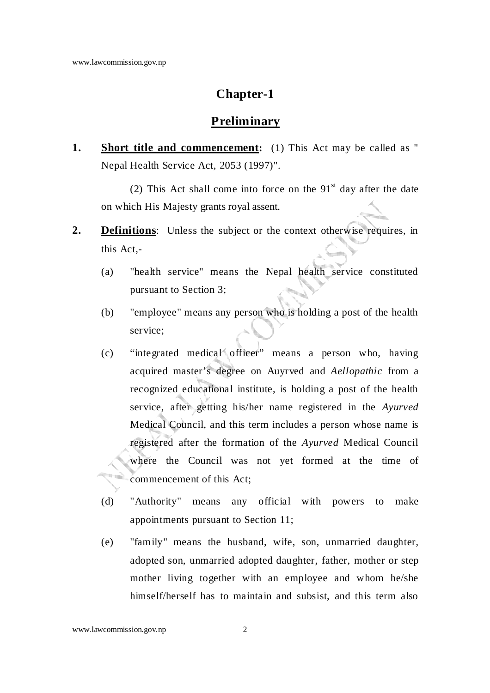### **Chapter-1**

#### **Preliminary**

**1.** Short title and commencement: (1) This Act may be called as " Nepal Health Service Act, 2053 (1997)".

(2) This Act shall come into force on the  $91<sup>st</sup>$  day after the date on which His Majesty grants royal assent.

- **2. Definitions**: Unless the subject or the context otherwise requires, in this Act,-
	- (a) "health service" means the Nepal health service constituted pursuant to Section 3;
	- (b) "employee" means any person who is holding a post of the health service;
	- (c) "integrated medical officer" means a person who, having acquired master's degree on Auyrved and *Aellopathic* from a recognized educational institute, is holding a post of the health service, after getting his/her name registered in the *Ayurved* Medical Council, and this term includes a person whose name is registered after the formation of the *Ayurved* Medical Council where the Council was not yet formed at the time of commencement of this Act;
	- (d) "Authority" means any official with powers to make appointments pursuant to Section 11;
	- (e) "family" means the husband, wife, son, unmarried daughter, adopted son, unmarried adopted daughter, father, mother or step mother living together with an employee and whom he/she himself/herself has to maintain and subsist, and this term also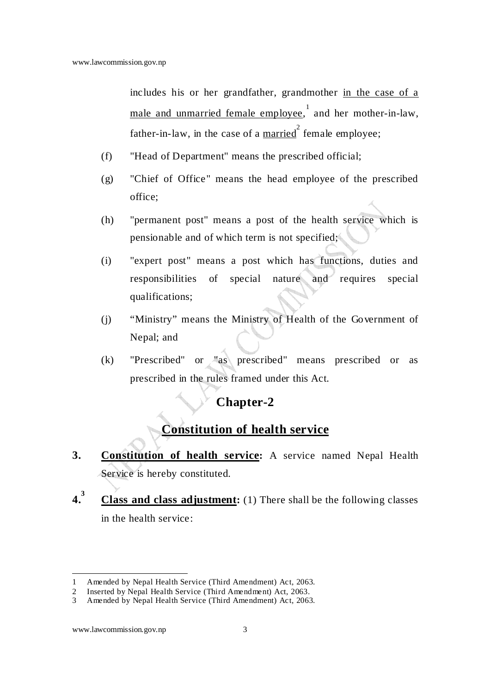includes his or her grandfather, grandmother in the case of a male and unmarried female employee, and her mother-in-law, father-in-law, in the case of a  $\frac{married}{}^{2}$  female employee;

- (f) "Head of Department" means the prescribed official;
- (g) "Chief of Office" means the head employee of the prescribed office;
- (h) "permanent post" means a post of the health service which is pensionable and of which term is not specified;
- (i) "expert post" means a post which has functions, duties and responsibilities of special nature and requires special qualifications;
- (j) "Ministry" means the Ministry of Health of the Government of Nepal; and
- (k) "Prescribed" or "as prescribed" means prescribed or as prescribed in the rules framed under this Act.

## **Chapter-2**

## **Constitution of health service**

- **3. Constitution of health service:** A service named Nepal Health Service is hereby constituted.
- **4.3 Class and class adjustment:** (1) There shall be the following classes in the health service:

www.lawcommission.gov.np 3

 $\overline{a}$ 1 Amended by Nepal Health Service (Third Amendment) Act, 2063.

<sup>2</sup> Inserted by Nepal Health Service (Third Amendment) Act, 2063.

<sup>3</sup> Amended by Nepal Health Service (Third Amendment) Act, 2063.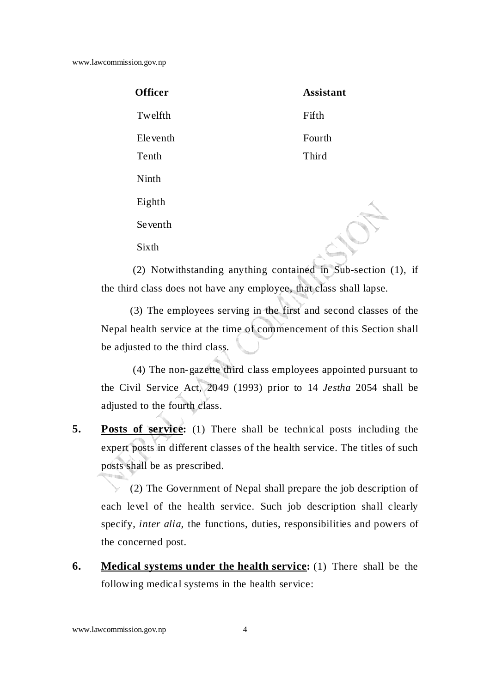www.lawcommission.gov.np

| <b>Officer</b> | <b>Assistant</b> |
|----------------|------------------|
| Twelfth        | Fifth            |
| Eleventh       | Fourth           |
| Tenth          | Third            |
| Ninth          |                  |
| Eighth         |                  |
| Seventh        |                  |
| Sixth          |                  |
|                |                  |

(2) Notwithstanding anything contained in Sub-section (1), if the third class does not have any employee, that class shall lapse.

(3) The employees serving in the first and second classes of the Nepal health service at the time of commencement of this Section shall be adjusted to the third class.

 (4) The non-gazette third class employees appointed pursuant to the Civil Service Act, 2049 (1993) prior to 14 *Jestha* 2054 shall be adjusted to the fourth class.

**5. Posts of service:** (1) There shall be technical posts including the expert posts in different classes of the health service. The titles of such posts shall be as prescribed.

(2) The Government of Nepal shall prepare the job description of each level of the health service. Such job description shall clearly specify, *inter alia,* the functions, duties, responsibilities and powers of the concerned post.

**6.** Medical systems under the health service: (1) There shall be the following medical systems in the health service: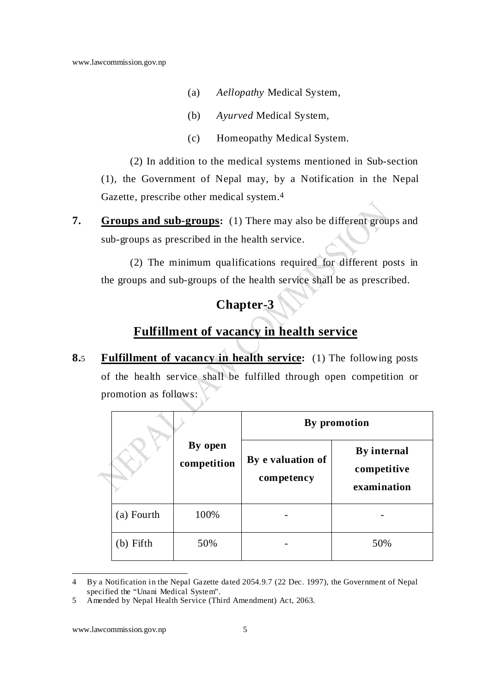- (a) *Aellopathy* Medical System,
- (b) *Ayurved* Medical System,
- (c) Homeopathy Medical System.

(2) In addition to the medical systems mentioned in Sub-section (1), the Government of Nepal may, by a Notification in the Nepal Gazette, prescribe other medical system.4

**7. Groups and sub-groups:** (1) There may also be different groups and sub-groups as prescribed in the health service.

(2) The minimum qualifications required for different posts in the groups and sub-groups of the health service shall be as prescribed.

# **Chapter-3**

### **Fulfillment of vacancy in health service**

**8.**5 **Fulfillment of vacancy in health service:** (1) The following posts of the health service shall be fulfilled through open competition or promotion as follows:

|              |                        | By promotion                    |                                           |
|--------------|------------------------|---------------------------------|-------------------------------------------|
|              | By open<br>competition | By e valuation of<br>competency | By internal<br>competitive<br>examination |
| (a) Fourth   | 100%                   |                                 |                                           |
| Fifth<br>(b) | 50%                    |                                 | 50%                                       |

 $\overline{a}$ 4 By a Notification in the Nepal Gazette dated 2054.9.7 (22 Dec. 1997), the Government of Nepal specified the "Unani Medical System".

<sup>5</sup> Amended by Nepal Health Service (Third Amendment) Act, 2063.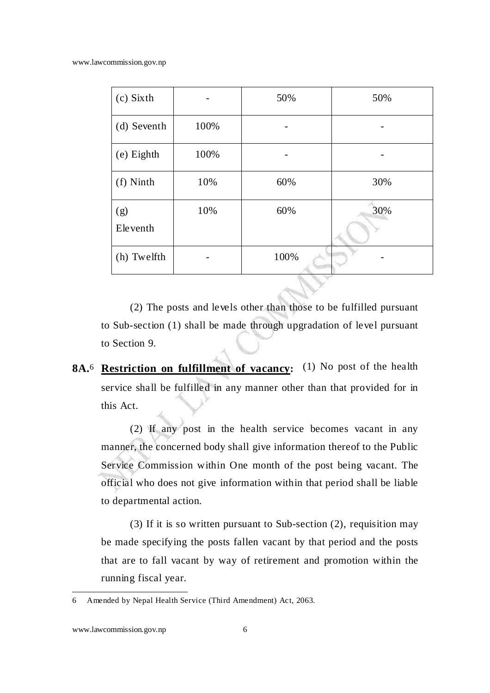www.lawcommission.gov.np

| (c) Sixth       |      | 50%  | 50% |
|-----------------|------|------|-----|
| (d) Seventh     | 100% |      |     |
| (e) Eighth      | 100% |      |     |
| (f) Ninth       | 10%  | 60%  | 30% |
| (g)<br>Eleventh | 10%  | 60%  | 30% |
| (h) Twelfth     |      | 100% |     |

(2) The posts and levels other than those to be fulfilled pursuant to Sub-section (1) shall be made through upgradation of level pursuant to Section 9.

**8A.**6 **Restriction on fulfillment of vacancy:** (1) No post of the health service shall be fulfilled in any manner other than that provided for in this Act.

(2) If any post in the health service becomes vacant in any manner, the concerned body shall give information thereof to the Public Service Commission within One month of the post being vacant. The official who does not give information within that period shall be liable to departmental action.

(3) If it is so written pursuant to Sub-section (2), requisition may be made specifying the posts fallen vacant by that period and the posts that are to fall vacant by way of retirement and promotion within the running fiscal year.

<sup>6</sup> Amended by Nepal Health Service (Third Amendment) Act, 2063.

www.lawcommission.gov.np 6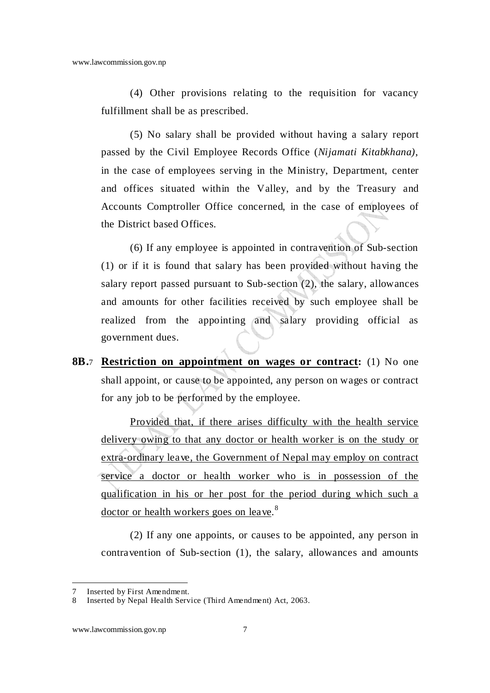(4) Other provisions relating to the requisition for vacancy fulfillment shall be as prescribed.

(5) No salary shall be provided without having a salary report passed by the Civil Employee Records Office (*Nijamati Kitabkhana)*, in the case of employees serving in the Ministry, Department, center and offices situated within the Valley, and by the Treasury and Accounts Comptroller Office concerned, in the case of employees of the District based Offices.

 (6) If any employee is appointed in contravention of Sub-section (1) or if it is found that salary has been provided without having the salary report passed pursuant to Sub-section (2), the salary, allowances and amounts for other facilities received by such employee shall be realized from the appointing and salary providing official as government dues.

**8B.**7 **Restriction on appointment on wages or contract:** (1) No one shall appoint, or cause to be appointed, any person on wages or contract for any job to be performed by the employee.

Provided that, if there arises difficulty with the health service delivery owing to that any doctor or health worker is on the study or extra-ordinary leave, the Government of Nepal may employ on contract service a doctor or health worker who is in possession of the qualification in his or her post for the period during which such a doctor or health workers goes on leave.<sup>8</sup>

(2) If any one appoints, or causes to be appointed, any person in contravention of Sub-section (1), the salary, allowances and amounts

Inserted by First Amendment.

<sup>8</sup> Inserted by Nepal Health Service (Third Amendment) Act, 2063.

www.lawcommission.gov.np 7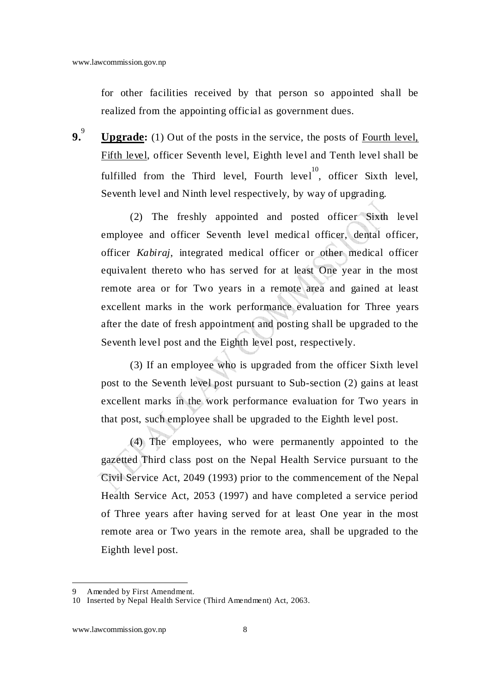for other facilities received by that person so appointed shall be realized from the appointing official as government dues.

**9.**9  **Upgrade:** (1) Out of the posts in the service, the posts of Fourth level, Fifth level, officer Seventh level, Eighth level and Tenth level shall be fulfilled from the Third level, Fourth level<sup>10</sup>, officer Sixth level, Seventh level and Ninth level respectively, by way of upgrading.

(2) The freshly appointed and posted officer Sixth level employee and officer Seventh level medical officer, dental officer, officer *Kabiraj*, integrated medical officer or other medical officer equivalent thereto who has served for at least One year in the most remote area or for Two years in a remote area and gained at least excellent marks in the work performance evaluation for Three years after the date of fresh appointment and posting shall be upgraded to the Seventh level post and the Eighth level post, respectively.

(3) If an employee who is upgraded from the officer Sixth level post to the Seventh level post pursuant to Sub-section (2) gains at least excellent marks in the work performance evaluation for Two years in that post, such employee shall be upgraded to the Eighth level post.

(4) The employees, who were permanently appointed to the gazetted Third class post on the Nepal Health Service pursuant to the Civil Service Act, 2049 (1993) prior to the commencement of the Nepal Health Service Act, 2053 (1997) and have completed a service period of Three years after having served for at least One year in the most remote area or Two years in the remote area, shall be upgraded to the Eighth level post.

<sup>9</sup> Amended by First Amendment.

<sup>10</sup> Inserted by Nepal Health Service (Third Amendment) Act, 2063.

www.lawcommission.gov.np 8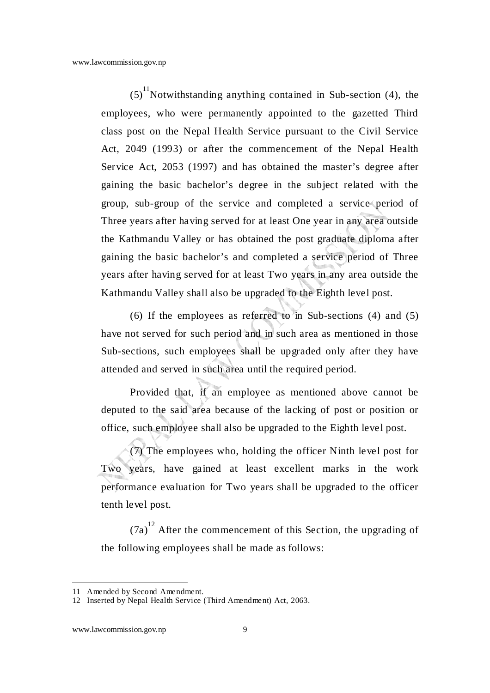$(5)$ <sup>11</sup>Notwithstanding anything contained in Sub-section (4), the employees, who were permanently appointed to the gazetted Third class post on the Nepal Health Service pursuant to the Civil Service Act, 2049 (1993) or after the commencement of the Nepal Health Service Act, 2053 (1997) and has obtained the master's degree after gaining the basic bachelor's degree in the subject related with the group, sub-group of the service and completed a service period of Three years after having served for at least One year in any area outside the Kathmandu Valley or has obtained the post graduate diploma after gaining the basic bachelor's and completed a service period of Three years after having served for at least Two years in any area outside the Kathmandu Valley shall also be upgraded to the Eighth level post.

(6) If the employees as referred to in Sub-sections (4) and (5) have not served for such period and in such area as mentioned in those Sub-sections, such employees shall be upgraded only after they have attended and served in such area until the required period.

Provided that, if an employee as mentioned above cannot be deputed to the said area because of the lacking of post or position or office, such employee shall also be upgraded to the Eighth level post.

(7) The employees who, holding the officer Ninth level post for Two years, have gained at least excellent marks in the work performance evaluation for Two years shall be upgraded to the officer tenth level post.

 $(7a)^{12}$  After the commencement of this Section, the upgrading of the following employees shall be made as follows:

<sup>11</sup> Amended by Second Amendment.

<sup>12</sup> Inserted by Nepal Health Service (Third Amendment) Act, 2063.

www.lawcommission.gov.np 9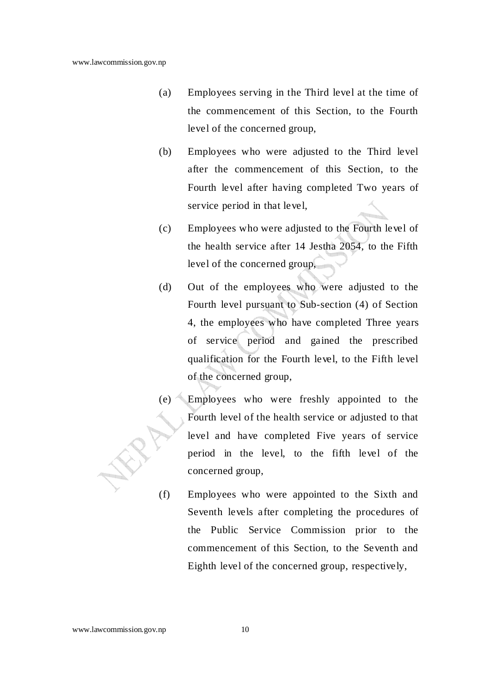- (a) Employees serving in the Third level at the time of the commencement of this Section, to the Fourth level of the concerned group,
- (b) Employees who were adjusted to the Third level after the commencement of this Section, to the Fourth level after having completed Two years of service period in that level,
- (c) Employees who were adjusted to the Fourth level of the health service after 14 Jestha 2054, to the Fifth level of the concerned group,
- (d) Out of the employees who were adjusted to the Fourth level pursuant to Sub-section (4) of Section 4, the employees who have completed Three years of service period and gained the prescribed qualification for the Fourth level, to the Fifth level of the concerned group,
- (e) Employees who were freshly appointed to the Fourth level of the health service or adjusted to that level and have completed Five years of service period in the level, to the fifth level of the concerned group,
	- (f) Employees who were appointed to the Sixth and Seventh levels after completing the procedures of the Public Service Commission prior to the commencement of this Section, to the Seventh and Eighth level of the concerned group, respectively,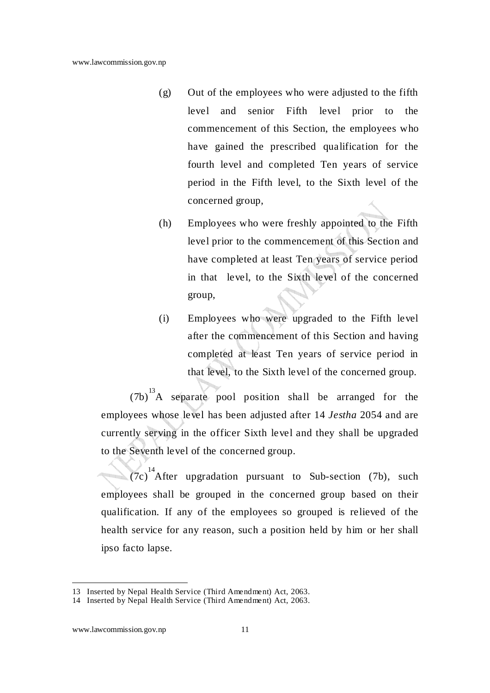- (g) Out of the employees who were adjusted to the fifth level and senior Fifth level prior to the commencement of this Section, the employees who have gained the prescribed qualification for the fourth level and completed Ten years of service period in the Fifth level, to the Sixth level of the concerned group,
- (h) Employees who were freshly appointed to the Fifth level prior to the commencement of this Section and have completed at least Ten years of service period in that level, to the Sixth level of the concerned group,
- (i) Employees who were upgraded to the Fifth level after the commencement of this Section and having completed at least Ten years of service period in that level, to the Sixth level of the concerned group.

 $(7b)^{13}$ A separate pool position shall be arranged for the employees whose level has been adjusted after 14 *Jestha* 2054 and are currently serving in the officer Sixth level and they shall be upgraded to the Seventh level of the concerned group.

 $(7c)^{14}$ After upgradation pursuant to Sub-section (7b), such employees shall be grouped in the concerned group based on their qualification. If any of the employees so grouped is relieved of the health service for any reason, such a position held by him or her shall ipso facto lapse.

<sup>13</sup> Inserted by Nepal Health Service (Third Amendment) Act, 2063.

<sup>14</sup> Inserted by Nepal Health Service (Third Amendment) Act, 2063.

www.lawcommission.gov.np 11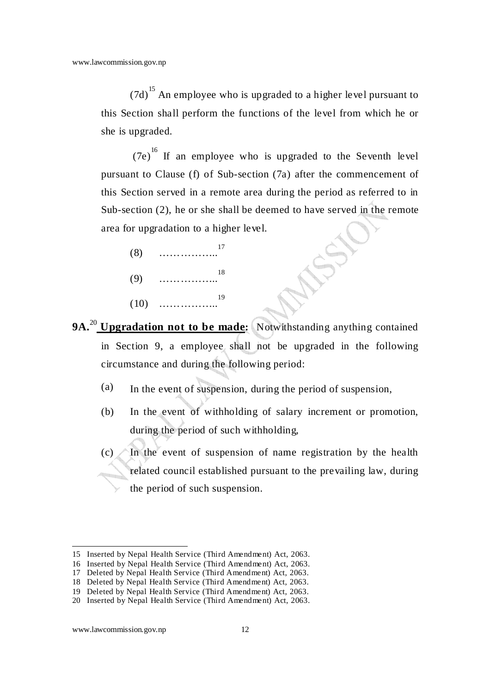$(7d)$ <sup>15</sup> An employee who is upgraded to a higher level pursuant to this Section shall perform the functions of the level from which he or she is upgraded.

 (7e) 16 If an employee who is upgraded to the Seventh level pursuant to Clause (f) of Sub-section (7a) after the commencement of this Section served in a remote area during the period as referred to in Sub-section (2), he or she shall be deemed to have served in the remote area for upgradation to a higher level.

(8) …………….. 17  $(9)$ 18

- $(10)$  ……………… 19
- **9A.**<sup>20</sup> Upgradation not to be made: Notwithstanding anything contained in Section 9, a employee shall not be upgraded in the following circumstance and during the following period:
	- (a) In the event of suspension, during the period of suspension,
	- (b) In the event of withholding of salary increment or promotion, during the period of such withholding,

 $(c)$  In the event of suspension of name registration by the health related council established pursuant to the prevailing law, during the period of such suspension.

www.lawcommission.gov.np 12

 $\overline{a}$ 

<sup>15</sup> Inserted by Nepal Health Service (Third Amendment) Act, 2063.

<sup>16</sup> Inserted by Nepal Health Service (Third Amendment) Act, 2063.

<sup>17</sup> Deleted by Nepal Health Service (Third Amendment) Act, 2063.

<sup>18</sup> Deleted by Nepal Health Service (Third Amendment) Act, 2063.

<sup>19</sup> Deleted by Nepal Health Service (Third Amendment) Act, 2063.

<sup>20</sup> Inserted by Nepal Health Service (Third Amendment) Act, 2063.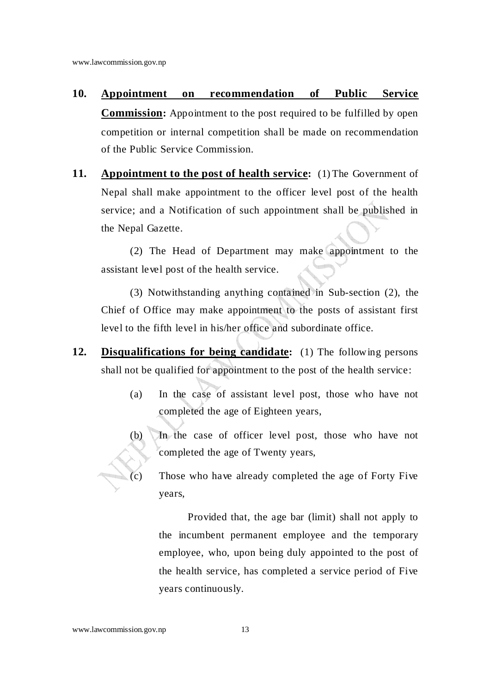- **10. Appointment on recommendation of Public Service Commission:** Appointment to the post required to be fulfilled by open competition or internal competition shall be made on recommendation of the Public Service Commission.
- **11.** Appointment to the post of health service: (1) The Government of Nepal shall make appointment to the officer level post of the health service; and a Notification of such appointment shall be published in the Nepal Gazette.

(2) The Head of Department may make appointment to the assistant level post of the health service.

(3) Notwithstanding anything contained in Sub-section (2), the Chief of Office may make appointment to the posts of assistant first level to the fifth level in his/her office and subordinate office.

- **12. Disqualifications for being candidate:** (1) The following persons shall not be qualified for appointment to the post of the health service:
	- (a) In the case of assistant level post, those who have not completed the age of Eighteen years,
	- (b) In the case of officer level post, those who have not completed the age of Twenty years,

(c) Those who have already completed the age of Forty Five years,

Provided that, the age bar (limit) shall not apply to the incumbent permanent employee and the temporary employee, who, upon being duly appointed to the post of the health service, has completed a service period of Five years continuously.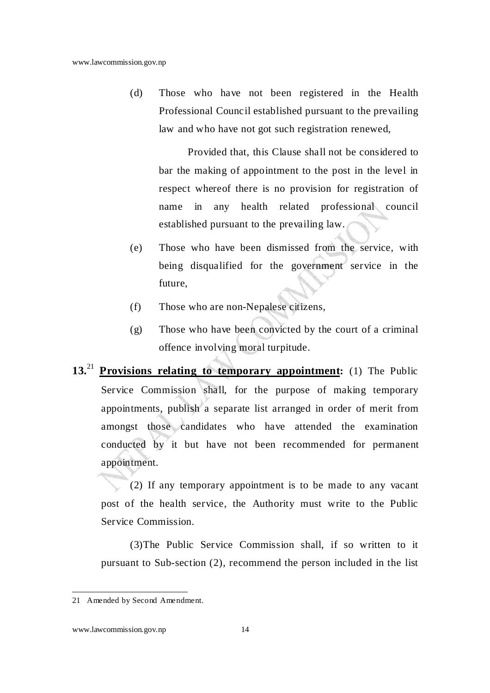(d) Those who have not been registered in the Health Professional Council established pursuant to the prevailing law and who have not got such registration renewed,

Provided that, this Clause shall not be considered to bar the making of appointment to the post in the level in respect whereof there is no provision for registration of name in any health related professional council established pursuant to the prevailing law.

- (e) Those who have been dismissed from the service, with being disqualified for the government service in the future,
- (f) Those who are non-Nepalese citizens,
- (g) Those who have been convicted by the court of a criminal offence involving moral turpitude.
- **13.**<sup>21</sup> **Provisions relating to temporary appointment:** (1) The Public Service Commission shall, for the purpose of making temporary appointments, publish a separate list arranged in order of merit from amongst those candidates who have attended the examination conducted by it but have not been recommended for permanent appointment.

(2) If any temporary appointment is to be made to any vacant post of the health service, the Authority must write to the Public Service Commission.

(3)The Public Service Commission shall, if so written to it pursuant to Sub-section (2), recommend the person included in the list

<sup>21</sup> Amended by Second Amendment.

www.lawcommission.gov.np 14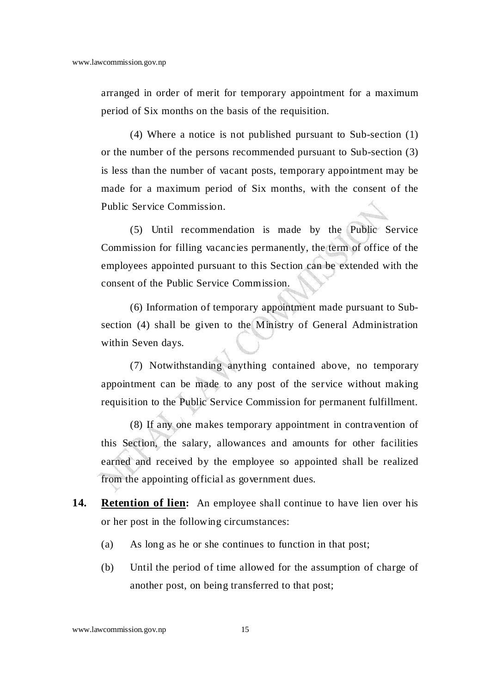arranged in order of merit for temporary appointment for a maximum period of Six months on the basis of the requisition.

(4) Where a notice is not published pursuant to Sub-section (1) or the number of the persons recommended pursuant to Sub-section (3) is less than the number of vacant posts, temporary appointment may be made for a maximum period of Six months, with the consent of the Public Service Commission.

(5) Until recommendation is made by the Public Service Commission for filling vacancies permanently, the term of office of the employees appointed pursuant to this Section can be extended with the consent of the Public Service Commission.

(6) Information of temporary appointment made pursuant to Subsection (4) shall be given to the Ministry of General Administration within Seven days.

(7) Notwithstanding anything contained above, no temporary appointment can be made to any post of the service without making requisition to the Public Service Commission for permanent fulfillment.

(8) If any one makes temporary appointment in contravention of this Section, the salary, allowances and amounts for other facilities earned and received by the employee so appointed shall be realized from the appointing official as government dues.

- 14. **Retention of lien:** An employee shall continue to have lien over his or her post in the following circumstances:
	- (a) As long as he or she continues to function in that post;
	- (b) Until the period of time allowed for the assumption of charge of another post, on being transferred to that post;

www.lawcommission.gov.np 15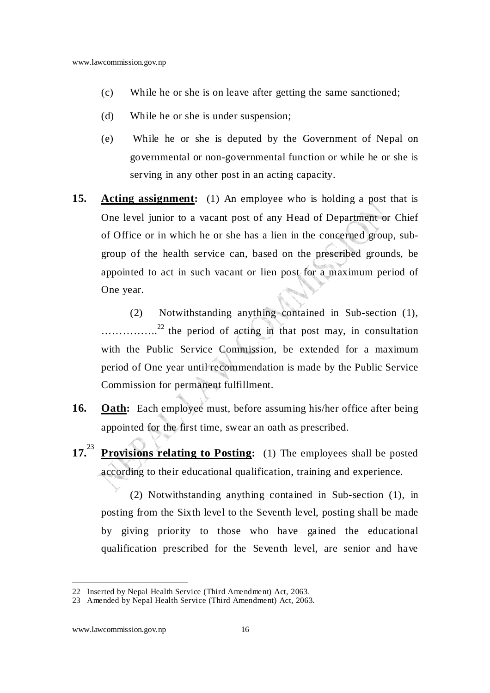- (c) While he or she is on leave after getting the same sanctioned;
- (d) While he or she is under suspension;
- (e) While he or she is deputed by the Government of Nepal on governmental or non-governmental function or while he or she is serving in any other post in an acting capacity.
- **15.** Acting assignment: (1) An employee who is holding a post that is One level junior to a vacant post of any Head of Department or Chief of Office or in which he or she has a lien in the concerned group, subgroup of the health service can, based on the prescribed grounds, be appointed to act in such vacant or lien post for a maximum period of One year.

(2) Notwithstanding anything contained in Sub-section (1), ..............<sup>22</sup> the period of acting in that post may, in consultation with the Public Service Commission, be extended for a maximum period of One year until recommendation is made by the Public Service Commission for permanent fulfillment.

- **16.** Oath: Each employee must, before assuming his/her office after being appointed for the first time, swear an oath as prescribed.
- **17.**<sup>23</sup> **Provisions relating to Posting:** (1) The employees shall be posted according to their educational qualification, training and experience.

(2) Notwithstanding anything contained in Sub-section (1), in posting from the Sixth level to the Seventh level, posting shall be made by giving priority to those who have gained the educational qualification prescribed for the Seventh level, are senior and have

<sup>22</sup> Inserted by Nepal Health Service (Third Amendment) Act, 2063.

<sup>23</sup> Amended by Nepal Health Service (Third Amendment) Act, 2063.

www.lawcommission.gov.np 16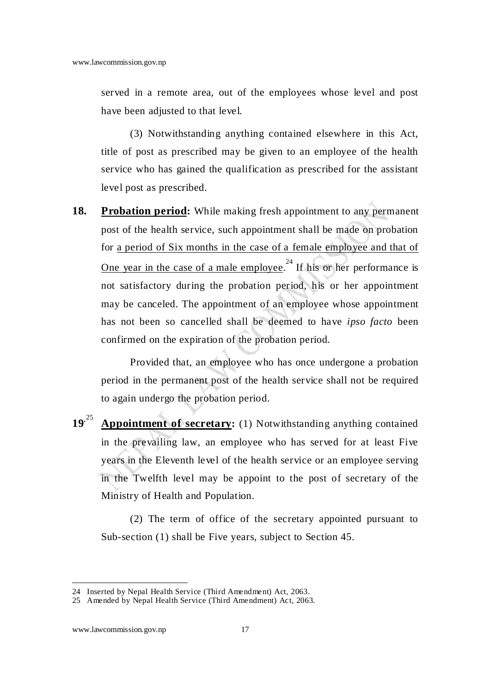served in a remote area, out of the employees whose level and post have been adjusted to that level.

 (3) Notwithstanding anything contained elsewhere in this Act, title of post as prescribed may be given to an employee of the health service who has gained the qualification as prescribed for the assistant level post as prescribed.

**18. Probation period:** While making fresh appointment to any permanent post of the health service, such appointment shall be made on probation for a period of Six months in the case of a female employee and that of One year in the case of a male employee.<sup>24</sup> If his or her performance is not satisfactory during the probation period, his or her appointment may be canceled. The appointment of an employee whose appointment has not been so cancelled shall be deemed to have *ipso facto* been confirmed on the expiration of the probation period.

Provided that, an employee who has once undergone a probation period in the permanent post of the health service shall not be required to again undergo the probation period.

**19.** <sup>25</sup> **Appointment of secretary:** (1) Notwithstanding anything contained in the prevailing law, an employee who has served for at least Five years in the Eleventh level of the health service or an employee serving in the Twelfth level may be appoint to the post of secretary of the Ministry of Health and Population.

(2) The term of office of the secretary appointed pursuant to Sub-section (1) shall be Five years, subject to Section 45.

<sup>24</sup> Inserted by Nepal Health Service (Third Amendment) Act, 2063.

<sup>25</sup> Amended by Nepal Health Service (Third Amendment) Act, 2063.

www.lawcommission.gov.np 17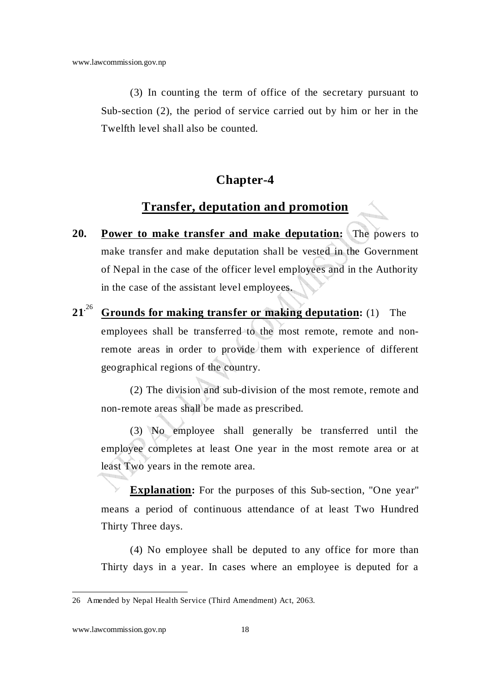(3) In counting the term of office of the secretary pursuant to Sub-section (2), the period of service carried out by him or her in the Twelfth level shall also be counted.

### **Chapter-4**

### **Transfer, deputation and promotion**

- **20. Power to make transfer and make deputation:** The powers to make transfer and make deputation shall be vested in the Government of Nepal in the case of the officer level employees and in the Authority in the case of the assistant level employees.
- **21.** <sup>26</sup> **Grounds for making transfer or making deputation:** (1) The employees shall be transferred to the most remote, remote and nonremote areas in order to provide them with experience of different geographical regions of the country.

(2) The division and sub-division of the most remote, remote and non-remote areas shall be made as prescribed.

(3) No employee shall generally be transferred until the employee completes at least One year in the most remote area or at least Two years in the remote area.

**Explanation:** For the purposes of this Sub-section, "One year" means a period of continuous attendance of at least Two Hundred Thirty Three days.

(4) No employee shall be deputed to any office for more than Thirty days in a year. In cases where an employee is deputed for a

<sup>26</sup> Amended by Nepal Health Service (Third Amendment) Act, 2063.

www.lawcommission.gov.np 18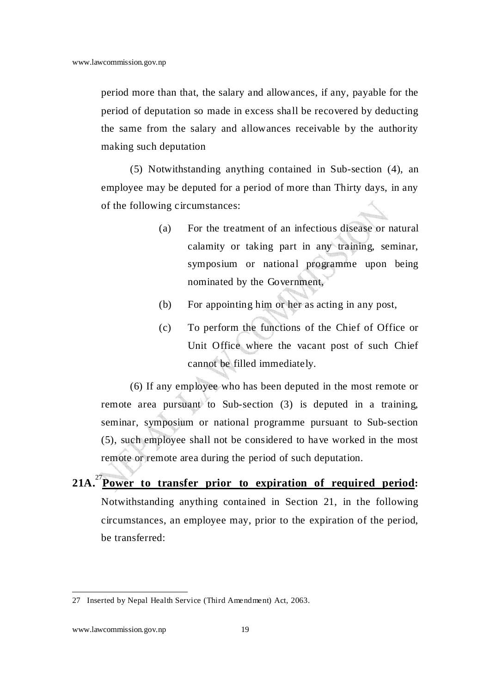period more than that, the salary and allowances, if any, payable for the period of deputation so made in excess shall be recovered by deducting the same from the salary and allowances receivable by the authority making such deputation

(5) Notwithstanding anything contained in Sub-section (4), an employee may be deputed for a period of more than Thirty days, in any of the following circumstances:

- (a) For the treatment of an infectious disease or natural calamity or taking part in any training, seminar, symposium or national programme upon being nominated by the Government,
- (b) For appointing him or her as acting in any post,
- (c) To perform the functions of the Chief of Office or Unit Office where the vacant post of such Chief cannot be filled immediately.

(6) If any employee who has been deputed in the most remote or remote area pursuant to Sub-section (3) is deputed in a training, seminar, symposium or national programme pursuant to Sub-section (5), such employee shall not be considered to have worked in the most remote or remote area during the period of such deputation.

**21A.**<sup>27</sup>**Power to transfer prior to expiration of required period:**  Notwithstanding anything contained in Section 21, in the following circumstances, an employee may, prior to the expiration of the period, be transferred:

<sup>27</sup> Inserted by Nepal Health Service (Third Amendment) Act, 2063.

www.lawcommission.gov.np 19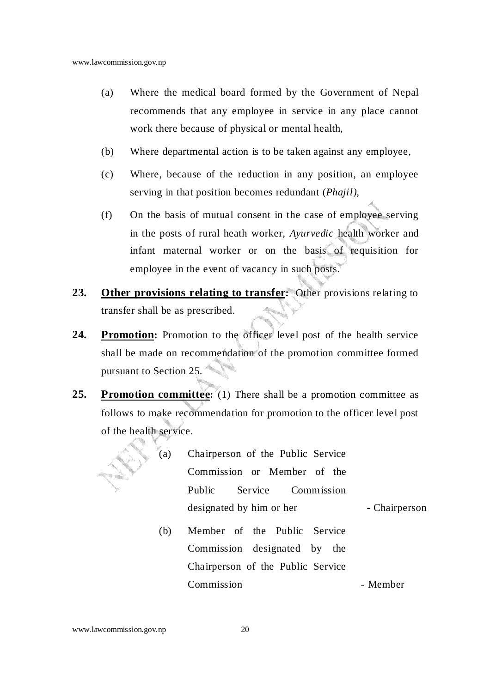- (a) Where the medical board formed by the Government of Nepal recommends that any employee in service in any place cannot work there because of physical or mental health,
- (b) Where departmental action is to be taken against any employee,
- (c) Where, because of the reduction in any position, an employee serving in that position becomes redundant (*Phajil),*
- (f) On the basis of mutual consent in the case of employee serving in the posts of rural heath worker, *Ayurvedic* health worker and infant maternal worker or on the basis of requisition for employee in the event of vacancy in such posts.
- **23. Other provisions relating to transfer:** Other provisions relating to transfer shall be as prescribed.
- 24. Promotion: Promotion to the officer level post of the health service shall be made on recommendation of the promotion committee formed pursuant to Section 25.
- **25. Promotion committee:** (1) There shall be a promotion committee as follows to make recommendation for promotion to the officer level post of the health service.

| (a) | Chairperson of the Public Service |               |  |
|-----|-----------------------------------|---------------|--|
|     | Commission or Member of the       |               |  |
|     | Service Commission<br>Public      |               |  |
|     | designated by him or her          | - Chairperson |  |
| (b) | Member of the Public Service      |               |  |
|     | Commission designated by the      |               |  |
|     | Chairperson of the Public Service |               |  |
|     | Commission                        | - Member      |  |

#### www.lawcommission.gov.np 20

V. h.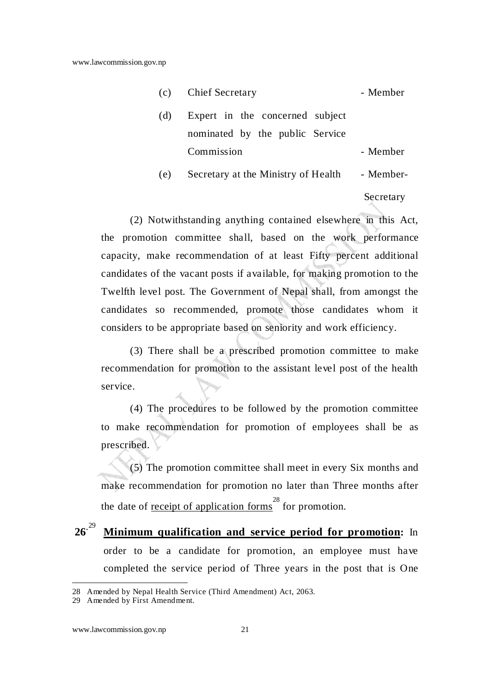| (c) | <b>Chief Secretary</b>              | - Member  |
|-----|-------------------------------------|-----------|
| (d) | Expert in the concerned subject     |           |
|     | nominated by the public Service     |           |
|     | Commission                          | - Member  |
| (e) | Secretary at the Ministry of Health | - Member- |
|     |                                     |           |

Secretary

(2) Notwithstanding anything contained elsewhere in this Act, the promotion committee shall, based on the work performance capacity, make recommendation of at least Fifty percent additional candidates of the vacant posts if available, for making promotion to the Twelfth level post. The Government of Nepal shall, from amongst the candidates so recommended, promote those candidates whom it considers to be appropriate based on seniority and work efficiency.

(3) There shall be a prescribed promotion committee to make recommendation for promotion to the assistant level post of the health service.

(4) The procedures to be followed by the promotion committee to make recommendation for promotion of employees shall be as prescribed.

(5) The promotion committee shall meet in every Six months and make recommendation for promotion no later than Three months after the date of <u>receipt of application forms</u><sup>28</sup> for promotion.

 $26^{.29}$ **Minimum qualification and service period for promotion:** In order to be a candidate for promotion, an employee must have completed the service period of Three years in the post that is One

<sup>28</sup> Amended by Nepal Health Service (Third Amendment) Act, 2063.

<sup>29</sup> Amended by First Amendment.

www.lawcommission.gov.np 21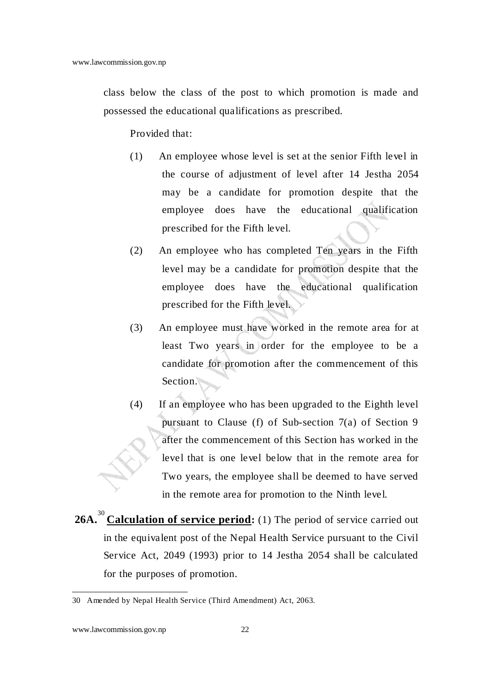class below the class of the post to which promotion is made and possessed the educational qualifications as prescribed.

Provided that:

- (1) An employee whose level is set at the senior Fifth level in the course of adjustment of level after 14 Jestha 2054 may be a candidate for promotion despite that the employee does have the educational qualification prescribed for the Fifth level.
- (2) An employee who has completed Ten years in the Fifth level may be a candidate for promotion despite that the employee does have the educational qualification prescribed for the Fifth level.
- (3) An employee must have worked in the remote area for at least Two years in order for the employee to be a candidate for promotion after the commencement of this Section.
- (4) If an employee who has been upgraded to the Eighth level pursuant to Clause (f) of Sub-section 7(a) of Section 9 after the commencement of this Section has worked in the level that is one level below that in the remote area for Two years, the employee shall be deemed to have served in the remote area for promotion to the Ninth level.
- 26A.<sup>30</sup> Calculation of service period: (1) The period of service carried out in the equivalent post of the Nepal Health Service pursuant to the Civil Service Act, 2049 (1993) prior to 14 Jestha 2054 shall be calculated for the purposes of promotion.

<sup>30</sup> Amended by Nepal Health Service (Third Amendment) Act, 2063.

www.lawcommission.gov.np 22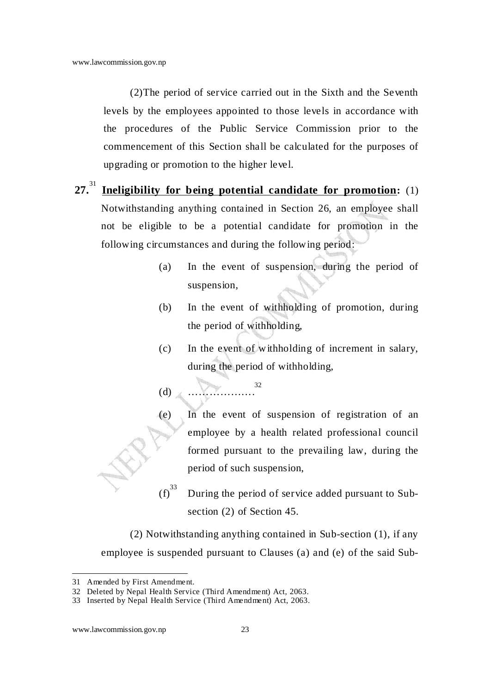(2)The period of service carried out in the Sixth and the Seventh levels by the employees appointed to those levels in accordance with the procedures of the Public Service Commission prior to the commencement of this Section shall be calculated for the purposes of upgrading or promotion to the higher level.

- **27.**<sup>31</sup> **Ineligibility for being potential candidate for promotion:** (1) Notwithstanding anything contained in Section 26, an employee shall not be eligible to be a potential candidate for promotion in the following circumstances and during the following period:
	- (a) In the event of suspension, during the period of suspension,
	- (b) In the event of withholding of promotion, during the period of withholding,
	- $(c)$  In the event of withholding of increment in salary, during the period of withholding,

 $(d)$ 32

(e) In the event of suspension of registration of an employee by a health related professional council formed pursuant to the prevailing law, during the period of such suspension,

 $(f)^{33}$  During the period of service added pursuant to Subsection (2) of Section 45.

(2) Notwithstanding anything contained in Sub-section (1), if any employee is suspended pursuant to Clauses (a) and (e) of the said Sub-

<sup>31</sup> Amended by First Amendment.

<sup>32</sup> Deleted by Nepal Health Service (Third Amendment) Act, 2063.

<sup>33</sup> Inserted by Nepal Health Service (Third Amendment) Act, 2063.

www.lawcommission.gov.np 23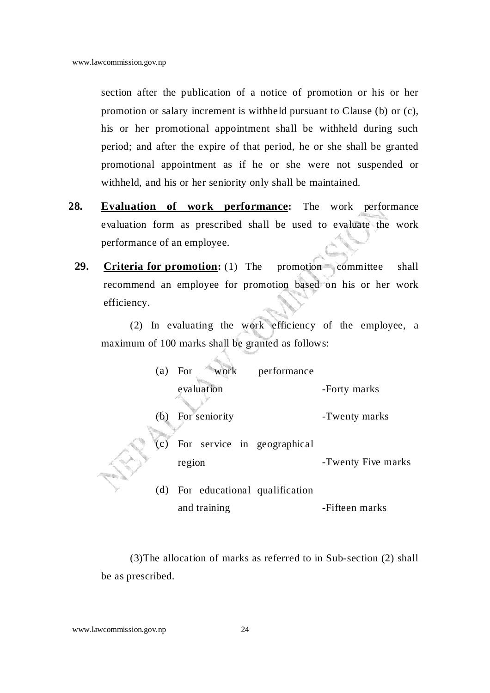section after the publication of a notice of promotion or his or her promotion or salary increment is withheld pursuant to Clause (b) or (c), his or her promotional appointment shall be withheld during such period; and after the expire of that period, he or she shall be granted promotional appointment as if he or she were not suspended or withheld, and his or her seniority only shall be maintained.

- **28. Evaluation of work performance:** The work performance evaluation form as prescribed shall be used to evaluate the work performance of an employee.
	- **29. Criteria for promotion:** (1) The promotion committee shall recommend an employee for promotion based on his or her work efficiency.

(2) In evaluating the work efficiency of the employee, a maximum of 100 marks shall be granted as follows:

| (a) | work<br>For                           | performance |                    |
|-----|---------------------------------------|-------------|--------------------|
|     | evaluation                            |             | -Forty marks       |
| (b) | For seniority                         |             | -Twenty marks      |
| (c) | For service in geographical<br>region |             | -Twenty Five marks |
|     | (d) For educational qualification     |             |                    |
|     | and training                          |             | -Fifteen marks     |

(3)The allocation of marks as referred to in Sub-section (2) shall be as prescribed.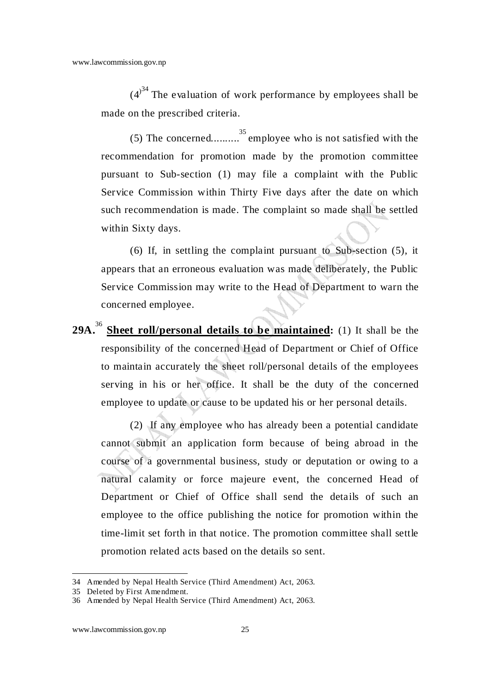$(4)^{34}$  The evaluation of work performance by employees shall be made on the prescribed criteria.

(5) The concerned..........<sup>35</sup> employee who is not satisfied with the recommendation for promotion made by the promotion committee pursuant to Sub-section (1) may file a complaint with the Public Service Commission within Thirty Five days after the date on which such recommendation is made. The complaint so made shall be settled within Sixty days.

(6) If, in settling the complaint pursuant to Sub-section (5), it appears that an erroneous evaluation was made deliberately, the Public Service Commission may write to the Head of Department to warn the concerned employee.

29A.<sup>36</sup> Sheet roll/personal details to be maintained: (1) It shall be the responsibility of the concerned Head of Department or Chief of Office to maintain accurately the sheet roll/personal details of the employees serving in his or her office. It shall be the duty of the concerned employee to update or cause to be updated his or her personal details.

(2) If any employee who has already been a potential candidate cannot submit an application form because of being abroad in the course of a governmental business, study or deputation or owing to a natural calamity or force majeure event, the concerned Head of Department or Chief of Office shall send the details of such an employee to the office publishing the notice for promotion within the time-limit set forth in that notice. The promotion committee shall settle promotion related acts based on the details so sent.

<sup>34</sup> Amended by Nepal Health Service (Third Amendment) Act, 2063.

<sup>35</sup> Deleted by First Amendment.

<sup>36</sup> Amended by Nepal Health Service (Third Amendment) Act, 2063.

www.lawcommission.gov.np 25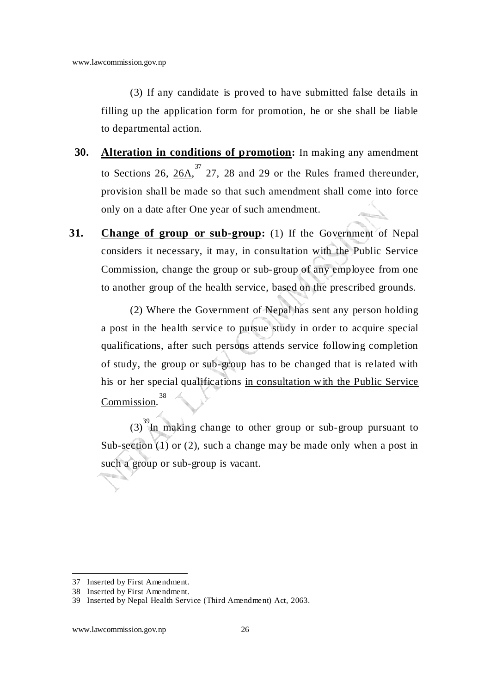(3) If any candidate is proved to have submitted false details in filling up the application form for promotion, he or she shall be liable to departmental action.

- **30. Alteration in conditions of promotion:** In making any amendment to Sections 26,  $26A$ ,  $37$ , 27, 28 and 29 or the Rules framed thereunder, provision shall be made so that such amendment shall come into force only on a date after One year of such amendment.
- **31.** Change of group or sub-group: (1) If the Government of Nepal considers it necessary, it may, in consultation with the Public Service Commission, change the group or sub-group of any employee from one to another group of the health service, based on the prescribed grounds.

(2) Where the Government of Nepal has sent any person holding a post in the health service to pursue study in order to acquire special qualifications, after such persons attends service following completion of study, the group or sub-group has to be changed that is related with his or her special qualifications in consultation with the Public Service Commission. 38

 $(3)$ <sup>39</sup>In making change to other group or sub-group pursuant to Sub-section (1) or (2), such a change may be made only when a post in such a group or sub-group is vacant.

l 37 Inserted by First Amendment.

<sup>38</sup> Inserted by First Amendment.

<sup>39</sup> Inserted by Nepal Health Service (Third Amendment) Act, 2063.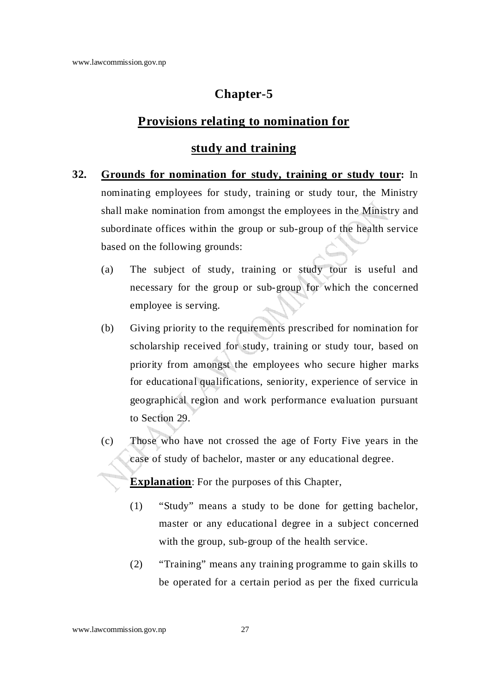## **Chapter-5**

#### **Provisions relating to nomination for**

### **study and training**

- **32. Grounds for nomination for study, training or study tour:** In nominating employees for study, training or study tour, the Ministry shall make nomination from amongst the employees in the Ministry and subordinate offices within the group or sub-group of the health service based on the following grounds:
	- (a) The subject of study, training or study tour is useful and necessary for the group or sub-group for which the concerned employee is serving.
	- (b) Giving priority to the requirements prescribed for nomination for scholarship received for study, training or study tour, based on priority from amongst the employees who secure higher marks for educational qualifications, seniority, experience of service in geographical region and work performance evaluation pursuant to Section 29.
	- (c) Those who have not crossed the age of Forty Five years in the case of study of bachelor, master or any educational degree.

**Explanation**: For the purposes of this Chapter,

- (1) "Study" means a study to be done for getting bachelor, master or any educational degree in a subject concerned with the group, sub-group of the health service.
- (2) "Training" means any training programme to gain skills to be operated for a certain period as per the fixed curricula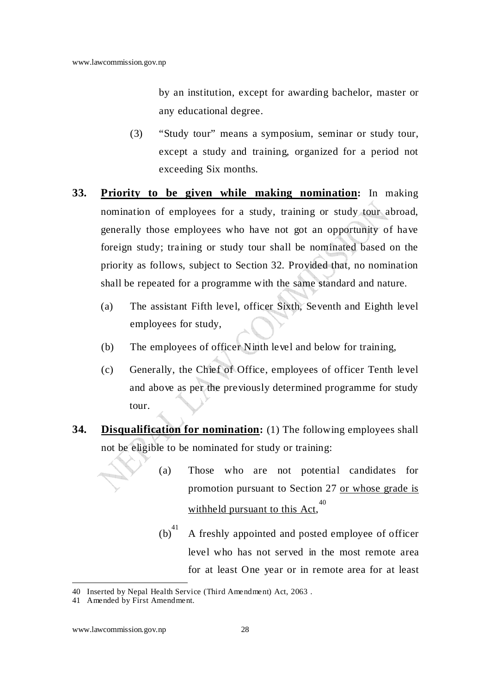by an institution, except for awarding bachelor, master or any educational degree.

- (3) "Study tour" means a symposium, seminar or study tour, except a study and training, organized for a period not exceeding Six months.
- **33. Priority to be given while making nomination:** In making nomination of employees for a study, training or study tour abroad, generally those employees who have not got an opportunity of have foreign study; training or study tour shall be nominated based on the priority as follows, subject to Section 32. Provided that, no nomination shall be repeated for a programme with the same standard and nature.
	- (a) The assistant Fifth level, officer Sixth, Seventh and Eighth level employees for study,
	- (b) The employees of officer Ninth level and below for training,
	- (c) Generally, the Chief of Office, employees of officer Tenth level and above as per the previously determined programme for study tour.
- **34. Disqualification for nomination:** (1) The following employees shall not be eligible to be nominated for study or training:
	- (a) Those who are not potential candidates for promotion pursuant to Section 27 or whose grade is withheld pursuant to this Act,<sup>40</sup>
		- $(b)^{41}$  A freshly appointed and posted employee of officer level who has not served in the most remote area for at least One year or in remote area for at least

<sup>40</sup> Inserted by Nepal Health Service (Third Amendment) Act, 2063 .

<sup>41</sup> Amended by First Amendment.

www.lawcommission.gov.np 28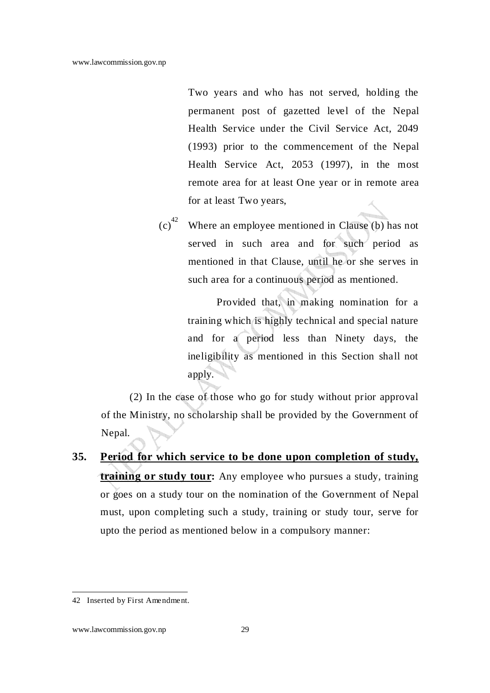Two years and who has not served, holding the permanent post of gazetted level of the Nepal Health Service under the Civil Service Act, 2049 (1993) prior to the commencement of the Nepal Health Service Act, 2053 (1997), in the most remote area for at least One year or in remote area for at least Two years,

 $(c)^{42}$  Where an employee mentioned in Clause (b) has not served in such area and for such period as mentioned in that Clause, until he or she serves in such area for a continuous period as mentioned.

> Provided that, in making nomination for a training which is highly technical and special nature and for a period less than Ninety days, the ineligibility as mentioned in this Section shall not apply.

(2) In the case of those who go for study without prior approval of the Ministry, no scholarship shall be provided by the Government of Nepal.

**35. Period for which service to be done upon completion of study, training or study tour:** Any employee who pursues a study, training or goes on a study tour on the nomination of the Government of Nepal must, upon completing such a study, training or study tour, serve for upto the period as mentioned below in a compulsory manner:

<sup>42</sup> Inserted by First Amendment.

www.lawcommission.gov.np 29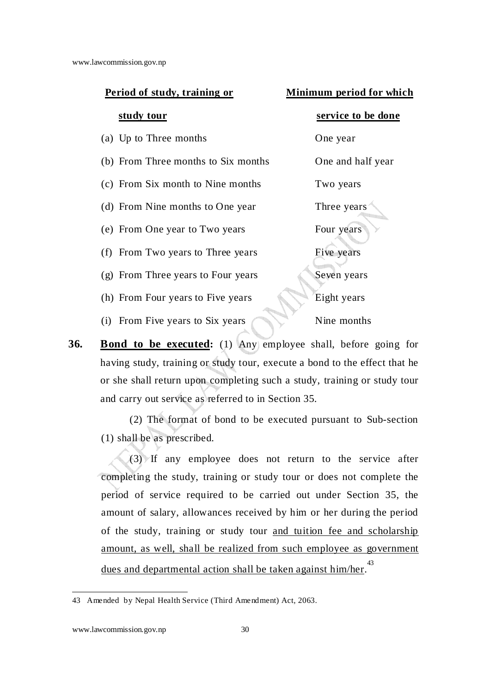| Period of study, training or        | Minimum period for which |
|-------------------------------------|--------------------------|
| study tour                          | service to be done       |
| (a) Up to Three months              | One year                 |
| (b) From Three months to Six months | One and half year        |
| (c) From Six month to Nine months   | Two years                |
| (d) From Nine months to One year    | Three years              |
| (e) From One year to Two years      | Four years               |
| (f) From Two years to Three years   | Five years               |
| (g) From Three years to Four years  | Seven years              |
| (h) From Four years to Five years   | Eight years              |
| From Five years to Six years<br>(i) | Nine months              |
|                                     |                          |

**36.** Bond to be executed: (1) Any employee shall, before going for having study, training or study tour, execute a bond to the effect that he or she shall return upon completing such a study, training or study tour and carry out service as referred to in Section 35.

(2) The format of bond to be executed pursuant to Sub-section (1) shall be as prescribed.

(3) If any employee does not return to the service after completing the study, training or study tour or does not complete the period of service required to be carried out under Section 35, the amount of salary, allowances received by him or her during the period of the study, training or study tour and tuition fee and scholarship amount, as well, shall be realized from such employee as government dues and departmental action shall be taken against him/her.<sup>43</sup>

<sup>43</sup> Amended by Nepal Health Service (Third Amendment) Act, 2063.

www.lawcommission.gov.np 30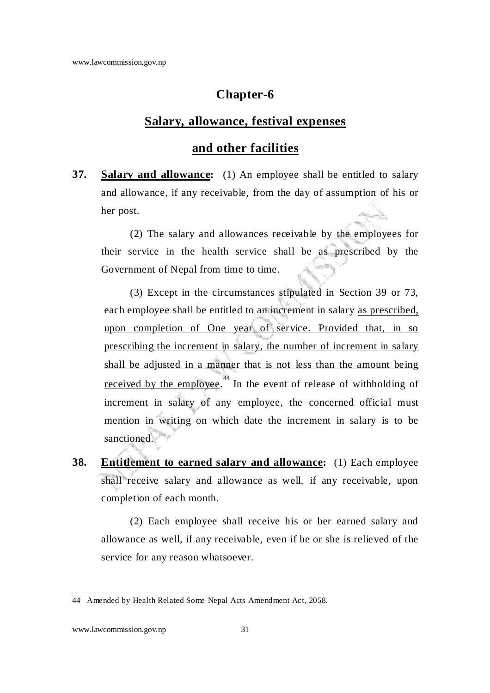### **Chapter-6**

#### **Salary, allowance, festival expenses**

#### **and other facilities**

**37. Salary and allowance:** (1) An employee shall be entitled to salary and allowance, if any receivable, from the day of assumption of his or her post.

(2) The salary and allowances receivable by the employees for their service in the health service shall be as prescribed by the Government of Nepal from time to time.

(3) Except in the circumstances stipulated in Section 39 or 73, each employee shall be entitled to an increment in salary as prescribed, upon completion of One year of service. Provided that, in so prescribing the increment in salary, the number of increment in salary shall be adjusted in a manner that is not less than the amount being received by the employee.<sup>44</sup> In the event of release of withholding of increment in salary of any employee, the concerned official must mention in writing on which date the increment in salary is to be sanctioned.

**38. Entitlement to earned salary and allowance:** (1) Each employee shall receive salary and allowance as well, if any receivable, upon completion of each month.

(2) Each employee shall receive his or her earned salary and allowance as well, if any receivable, even if he or she is relieved of the service for any reason whatsoever.

<sup>44</sup> Amended by Health Related Some Nepal Acts Amendment Act, 2058.

www.lawcommission.gov.np 31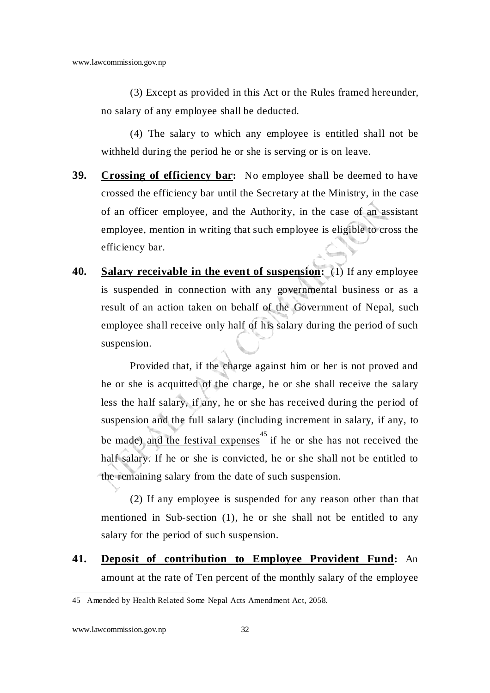(3) Except as provided in this Act or the Rules framed hereunder, no salary of any employee shall be deducted.

(4) The salary to which any employee is entitled shall not be withheld during the period he or she is serving or is on leave.

- **39. Crossing of efficiency bar:** No employee shall be deemed to have crossed the efficiency bar until the Secretary at the Ministry, in the case of an officer employee, and the Authority, in the case of an assistant employee, mention in writing that such employee is eligible to cross the efficiency bar.
- **40. Salary receivable in the event of suspension:** (1) If any employee is suspended in connection with any governmental business or as a result of an action taken on behalf of the Government of Nepal, such employee shall receive only half of his salary during the period of such suspension.

Provided that, if the charge against him or her is not proved and he or she is acquitted of the charge, he or she shall receive the salary less the half salary, if any, he or she has received during the period of suspension and the full salary (including increment in salary, if any, to be made) and the festival expenses  $45$  if he or she has not received the half salary. If he or she is convicted, he or she shall not be entitled to the remaining salary from the date of such suspension.

(2) If any employee is suspended for any reason other than that mentioned in Sub-section (1), he or she shall not be entitled to any salary for the period of such suspension.

**41. Deposit of contribution to Employee Provident Fund:** An amount at the rate of Ten percent of the monthly salary of the employee

www.lawcommission.gov.np 32

<sup>45</sup> Amended by Health Related Some Nepal Acts Amendment Act, 2058.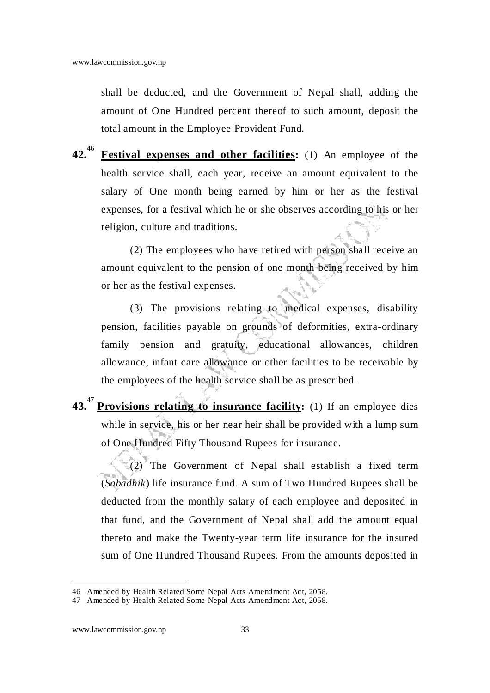shall be deducted, and the Government of Nepal shall, adding the amount of One Hundred percent thereof to such amount, deposit the total amount in the Employee Provident Fund.

**42.**<sup>46</sup> **Festival expenses and other facilities:** (1) An employee of the health service shall, each year, receive an amount equivalent to the salary of One month being earned by him or her as the festival expenses, for a festival which he or she observes according to his or her religion, culture and traditions.

(2) The employees who have retired with person shall receive an amount equivalent to the pension of one month being received by him or her as the festival expenses.

(3) The provisions relating to medical expenses, disability pension, facilities payable on grounds of deformities, extra-ordinary family pension and gratuity, educational allowances, children allowance, infant care allowance or other facilities to be receivable by the employees of the health service shall be as prescribed.

**43.** 47 **Provisions relating to insurance facility:** (1) If an employee dies while in service, his or her near heir shall be provided with a lump sum of One Hundred Fifty Thousand Rupees for insurance.

(2) The Government of Nepal shall establish a fixed term (*Sabadhik*) life insurance fund. A sum of Two Hundred Rupees shall be deducted from the monthly salary of each employee and deposited in that fund, and the Government of Nepal shall add the amount equal thereto and make the Twenty-year term life insurance for the insured sum of One Hundred Thousand Rupees. From the amounts deposited in

<sup>46</sup> Amended by Health Related Some Nepal Acts Amendment Act, 2058.

<sup>47</sup> Amended by Health Related Some Nepal Acts Amendment Act, 2058.

www.lawcommission.gov.np 33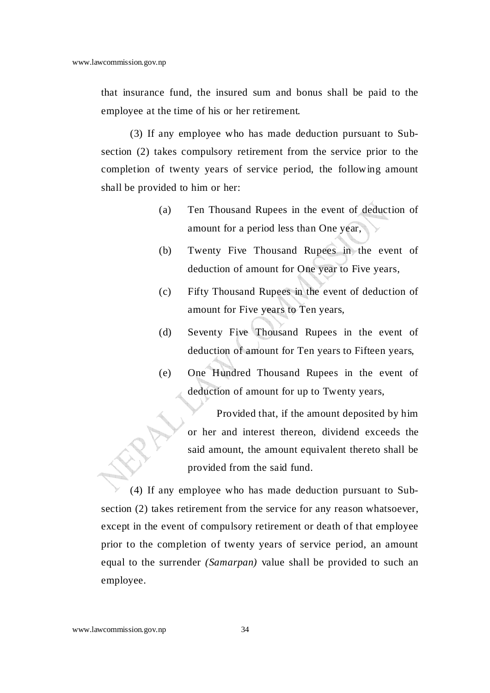that insurance fund, the insured sum and bonus shall be paid to the employee at the time of his or her retirement.

(3) If any employee who has made deduction pursuant to Subsection (2) takes compulsory retirement from the service prior to the completion of twenty years of service period, the following amount shall be provided to him or her:

- (a) Ten Thousand Rupees in the event of deduction of amount for a period less than One year,
- (b) Twenty Five Thousand Rupees in the event of deduction of amount for One year to Five years,
- (c) Fifty Thousand Rupees in the event of deduction of amount for Five years to Ten years,
- (d) Seventy Five Thousand Rupees in the event of deduction of amount for Ten years to Fifteen years,
- (e) One Hundred Thousand Rupees in the event of deduction of amount for up to Twenty years,

Provided that, if the amount deposited by him or her and interest thereon, dividend exceeds the said amount, the amount equivalent thereto shall be provided from the said fund.

(4) If any employee who has made deduction pursuant to Subsection (2) takes retirement from the service for any reason whatsoever, except in the event of compulsory retirement or death of that employee prior to the completion of twenty years of service period, an amount equal to the surrender *(Samarpan)* value shall be provided to such an employee.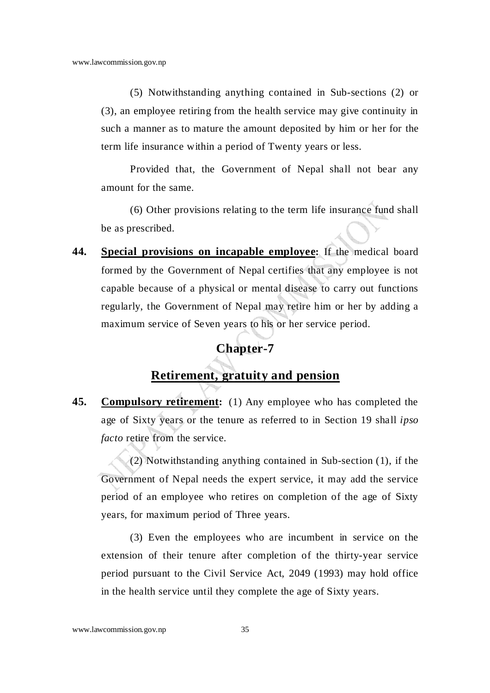(5) Notwithstanding anything contained in Sub-sections (2) or (3), an employee retiring from the health service may give continuity in such a manner as to mature the amount deposited by him or her for the term life insurance within a period of Twenty years or less.

Provided that, the Government of Nepal shall not bear any amount for the same.

(6) Other provisions relating to the term life insurance fund shall be as prescribed.

**44. Special provisions on incapable employee:** If the medical board formed by the Government of Nepal certifies that any employee is not capable because of a physical or mental disease to carry out functions regularly, the Government of Nepal may retire him or her by adding a maximum service of Seven years to his or her service period.

## **Chapter-7**

### **Retirement, gratuity and pension**

**45. Compulsory retirement:** (1) Any employee who has completed the age of Sixty years or the tenure as referred to in Section 19 shall *ipso facto* retire from the service.

(2) Notwithstanding anything contained in Sub-section (1), if the Government of Nepal needs the expert service, it may add the service period of an employee who retires on completion of the age of Sixty years, for maximum period of Three years.

(3) Even the employees who are incumbent in service on the extension of their tenure after completion of the thirty-year service period pursuant to the Civil Service Act, 2049 (1993) may hold office in the health service until they complete the age of Sixty years.

www.lawcommission.gov.np 35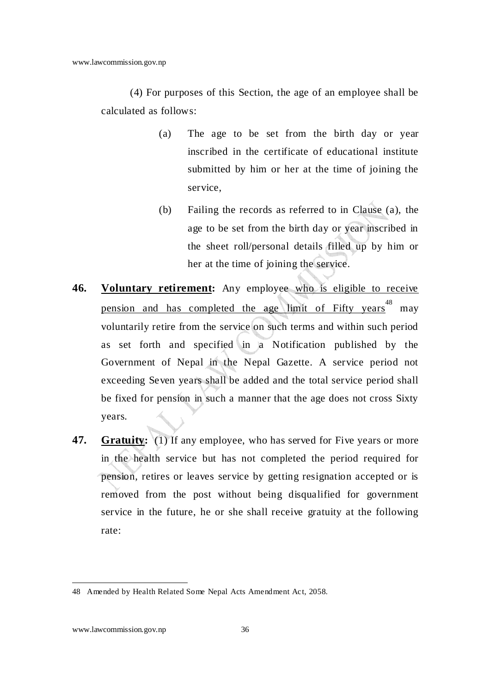(4) For purposes of this Section, the age of an employee shall be calculated as follows:

- (a) The age to be set from the birth day or year inscribed in the certificate of educational institute submitted by him or her at the time of joining the service,
- (b) Failing the records as referred to in Clause (a), the age to be set from the birth day or year inscribed in the sheet roll/personal details filled up by him or her at the time of joining the service.
- **46. Voluntary retirement:** Any employee who is eligible to receive pension and has completed the age limit of Fifty years<sup>48</sup> may voluntarily retire from the service on such terms and within such period as set forth and specified in a Notification published by the Government of Nepal in the Nepal Gazette. A service period not exceeding Seven years shall be added and the total service period shall be fixed for pension in such a manner that the age does not cross Sixty years.
- **47.** Gratuity: (1) If any employee, who has served for Five years or more in the health service but has not completed the period required for pension, retires or leaves service by getting resignation accepted or is removed from the post without being disqualified for government service in the future, he or she shall receive gratuity at the following rate:

<sup>48</sup> Amended by Health Related Some Nepal Acts Amendment Act, 2058.

www.lawcommission.gov.np 36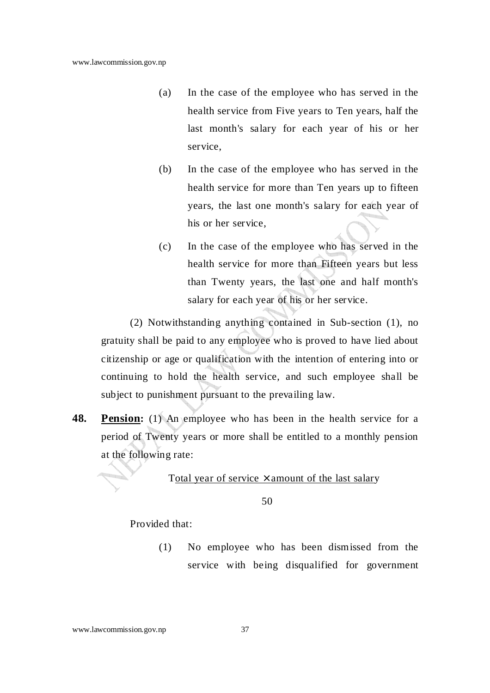- (a) In the case of the employee who has served in the health service from Five years to Ten years, half the last month's salary for each year of his or her service,
- (b) In the case of the employee who has served in the health service for more than Ten years up to fifteen years, the last one month's salary for each year of his or her service,
- (c) In the case of the employee who has served in the health service for more than Fifteen years but less than Twenty years, the last one and half month's salary for each year of his or her service.

(2) Notwithstanding anything contained in Sub-section (1), no gratuity shall be paid to any employee who is proved to have lied about citizenship or age or qualification with the intention of entering into or continuing to hold the health service, and such employee shall be subject to punishment pursuant to the prevailing law.

**48. Pension:** (1) An employee who has been in the health service for a period of Twenty years or more shall be entitled to a monthly pension at the following rate:

Total year of service  $\times$  amount of the last salary

50

Provided that:

(1) No employee who has been dismissed from the service with being disqualified for government

#### www.lawcommission.gov.np 37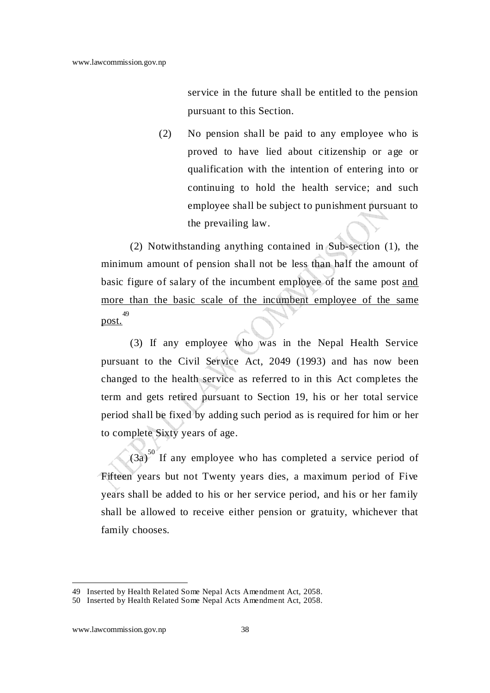service in the future shall be entitled to the pension pursuant to this Section.

(2) No pension shall be paid to any employee who is proved to have lied about citizenship or age or qualification with the intention of entering into or continuing to hold the health service; and such employee shall be subject to punishment pursuant to the prevailing law.

(2) Notwithstanding anything contained in Sub-section (1), the minimum amount of pension shall not be less than half the amount of basic figure of salary of the incumbent employee of the same post and more than the basic scale of the incumbent employee of the same post. 49

(3) If any employee who was in the Nepal Health Service pursuant to the Civil Service Act, 2049 (1993) and has now been changed to the health service as referred to in this Act completes the term and gets retired pursuant to Section 19, his or her total service period shall be fixed by adding such period as is required for him or her to complete Sixty years of age.

 $(3a)^{50}$  If any employee who has completed a service period of Fifteen years but not Twenty years dies, a maximum period of Five years shall be added to his or her service period, and his or her family shall be allowed to receive either pension or gratuity, whichever that family chooses.

<sup>49</sup> Inserted by Health Related Some Nepal Acts Amendment Act, 2058.

<sup>50</sup> Inserted by Health Related Some Nepal Acts Amendment Act, 2058.

www.lawcommission.gov.np 38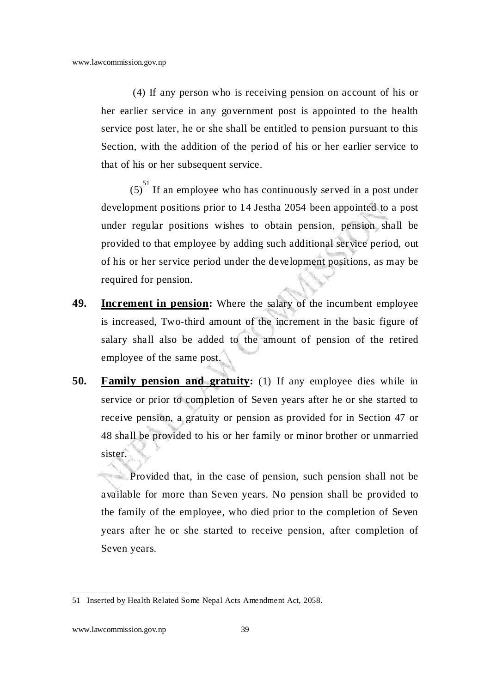(4) If any person who is receiving pension on account of his or her earlier service in any government post is appointed to the health service post later, he or she shall be entitled to pension pursuant to this Section, with the addition of the period of his or her earlier service to that of his or her subsequent service.

 $(5)^{51}$  If an employee who has continuously served in a post under development positions prior to 14 Jestha 2054 been appointed to a post under regular positions wishes to obtain pension, pension shall be provided to that employee by adding such additional service period, out of his or her service period under the development positions, as may be required for pension.

- **49. Increment in pension:** Where the salary of the incumbent employee is increased, Two-third amount of the increment in the basic figure of salary shall also be added to the amount of pension of the retired employee of the same post.
- **50. <u>Family pension and gratuity</u>**: (1) If any employee dies while in service or prior to completion of Seven years after he or she started to receive pension, a gratuity or pension as provided for in Section 47 or 48 shall be provided to his or her family or minor brother or unmarried sister.

Provided that, in the case of pension, such pension shall not be available for more than Seven years. No pension shall be provided to the family of the employee, who died prior to the completion of Seven years after he or she started to receive pension, after completion of Seven years.

<sup>51</sup> Inserted by Health Related Some Nepal Acts Amendment Act, 2058.

www.lawcommission.gov.np 39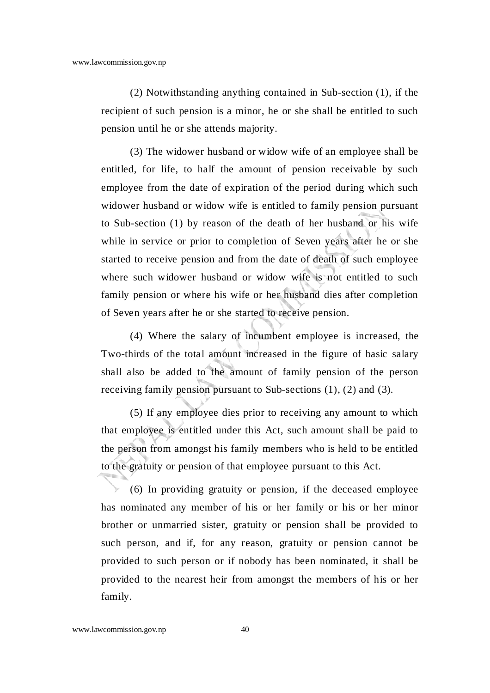(2) Notwithstanding anything contained in Sub-section (1), if the recipient of such pension is a minor, he or she shall be entitled to such pension until he or she attends majority.

(3) The widower husband or widow wife of an employee shall be entitled, for life, to half the amount of pension receivable by such employee from the date of expiration of the period during which such widower husband or widow wife is entitled to family pension pursuant to Sub-section (1) by reason of the death of her husband or his wife while in service or prior to completion of Seven years after he or she started to receive pension and from the date of death of such employee where such widower husband or widow wife is not entitled to such family pension or where his wife or her husband dies after completion of Seven years after he or she started to receive pension.

(4) Where the salary of incumbent employee is increased, the Two-thirds of the total amount increased in the figure of basic salary shall also be added to the amount of family pension of the person receiving family pension pursuant to Sub-sections (1), (2) and (3).

(5) If any employee dies prior to receiving any amount to which that employee is entitled under this Act, such amount shall be paid to the person from amongst his family members who is held to be entitled to the gratuity or pension of that employee pursuant to this Act.

(6) In providing gratuity or pension, if the deceased employee has nominated any member of his or her family or his or her minor brother or unmarried sister, gratuity or pension shall be provided to such person, and if, for any reason, gratuity or pension cannot be provided to such person or if nobody has been nominated, it shall be provided to the nearest heir from amongst the members of his or her family.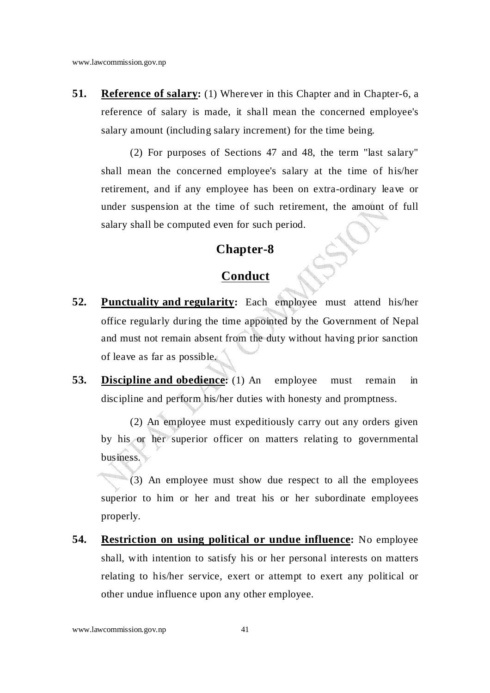**51.** Reference of salary: (1) Wherever in this Chapter and in Chapter-6, a reference of salary is made, it shall mean the concerned employee's salary amount (including salary increment) for the time being.

(2) For purposes of Sections 47 and 48, the term "last salary" shall mean the concerned employee's salary at the time of his/her retirement, and if any employee has been on extra-ordinary leave or under suspension at the time of such retirement, the amount of full salary shall be computed even for such period.

#### **Chapter-8**

### **Conduct**

- **52. Punctuality and regularity:** Each employee must attend his/her office regularly during the time appointed by the Government of Nepal and must not remain absent from the duty without having prior sanction of leave as far as possible.
- **53.** Discipline and obedience: (1) An employee must remain in discipline and perform his/her duties with honesty and promptness.

(2) An employee must expeditiously carry out any orders given by his or her superior officer on matters relating to governmental business.

(3) An employee must show due respect to all the employees superior to him or her and treat his or her subordinate employees properly.

**54. Restriction on using political or undue influence:** No employee shall, with intention to satisfy his or her personal interests on matters relating to his/her service, exert or attempt to exert any political or other undue influence upon any other employee.

www.lawcommission.gov.np 41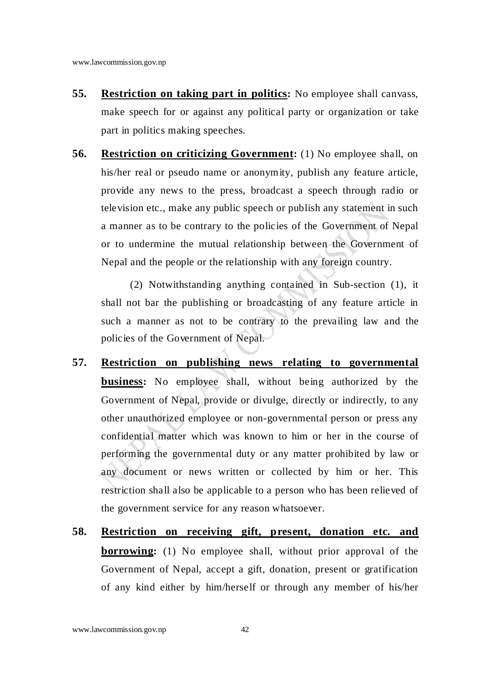- **55. Restriction on taking part in politics:** No employee shall canvass, make speech for or against any political party or organization or take part in politics making speeches.
- **56. Restriction on criticizing Government:** (1) No employee shall, on his/her real or pseudo name or anonymity, publish any feature article, provide any news to the press, broadcast a speech through radio or television etc., make any public speech or publish any statement in such a manner as to be contrary to the policies of the Government of Nepal or to undermine the mutual relationship between the Government of Nepal and the people or the relationship with any foreign country.

(2) Notwithstanding anything contained in Sub-section (1), it shall not bar the publishing or broadcasting of any feature article in such a manner as not to be contrary to the prevailing law and the policies of the Government of Nepal.

- **57. Restriction on publishing news relating to governmental business:** No employee shall, without being authorized by the Government of Nepal, provide or divulge, directly or indirectly, to any other unauthorized employee or non-governmental person or press any confidential matter which was known to him or her in the course of performing the governmental duty or any matter prohibited by law or any document or news written or collected by him or her. This restriction shall also be applicable to a person who has been relieved of the government service for any reason whatsoever.
- **58. Restriction on receiving gift, present, donation etc. and borrowing:** (1) No employee shall, without prior approval of the Government of Nepal, accept a gift, donation, present or gratification of any kind either by him/herself or through any member of his/her

www.lawcommission.gov.np 42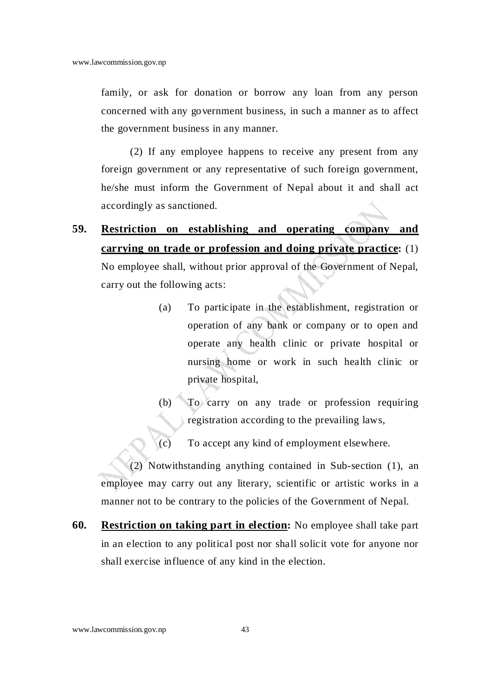family, or ask for donation or borrow any loan from any person concerned with any government business, in such a manner as to affect the government business in any manner.

(2) If any employee happens to receive any present from any foreign government or any representative of such foreign government, he/she must inform the Government of Nepal about it and shall act accordingly as sanctioned.

**59. Restriction on establishing and operating company and carrying on trade or profession and doing private practice:** (1)

No employee shall, without prior approval of the Government of Nepal, carry out the following acts:

- (a) To participate in the establishment, registration or operation of any bank or company or to open and operate any health clinic or private hospital or nursing home or work in such health clinic or private hospital,
- (b) To carry on any trade or profession requiring registration according to the prevailing laws,
- (c) To accept any kind of employment elsewhere.

(2) Notwithstanding anything contained in Sub-section (1), an employee may carry out any literary, scientific or artistic works in a manner not to be contrary to the policies of the Government of Nepal.

**60. Restriction on taking part in election:** No employee shall take part in an election to any political post nor shall solicit vote for anyone nor shall exercise influence of any kind in the election.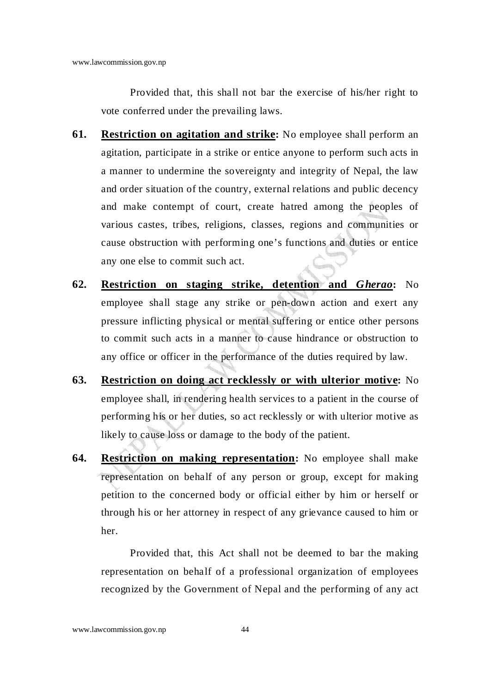Provided that, this shall not bar the exercise of his/her right to vote conferred under the prevailing laws.

- **61. Restriction on agitation and strike:** No employee shall perform an agitation, participate in a strike or entice anyone to perform such acts in a manner to undermine the sovereignty and integrity of Nepal, the law and order situation of the country, external relations and public decency and make contempt of court, create hatred among the peoples of various castes, tribes, religions, classes, regions and communities or cause obstruction with performing one's functions and duties or entice any one else to commit such act.
- **62. Restriction on staging strike, detention and** *Gherao***:** No employee shall stage any strike or pen-down action and exert any pressure inflicting physical or mental suffering or entice other persons to commit such acts in a manner to cause hindrance or obstruction to any office or officer in the performance of the duties required by law.
- **63. Restriction on doing act recklessly or with ulterior motive:** No employee shall, in rendering health services to a patient in the course of performing his or her duties, so act recklessly or with ulterior motive as likely to cause loss or damage to the body of the patient.
- **64. Restriction on making representation:** No employee shall make representation on behalf of any person or group, except for making petition to the concerned body or official either by him or herself or through his or her attorney in respect of any grievance caused to him or her.

Provided that, this Act shall not be deemed to bar the making representation on behalf of a professional organization of employees recognized by the Government of Nepal and the performing of any act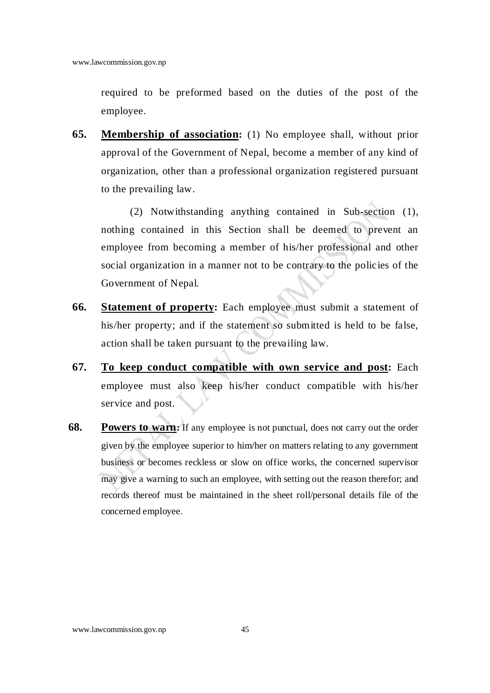required to be preformed based on the duties of the post of the employee.

**65. Membership of association:** (1) No employee shall, without prior approval of the Government of Nepal, become a member of any kind of organization, other than a professional organization registered pursuant to the prevailing law.

(2) Notwithstanding anything contained in Sub-section (1), nothing contained in this Section shall be deemed to prevent an employee from becoming a member of his/her professional and other social organization in a manner not to be contrary to the policies of the Government of Nepal.

- **66. Statement of property:** Each employee must submit a statement of his/her property; and if the statement so submitted is held to be false, action shall be taken pursuant to the prevailing law.
- **67. To keep conduct compatible with own service and post:** Each employee must also keep his/her conduct compatible with his/her service and post.
- **68.** Powers to warn: If any employee is not punctual, does not carry out the order given by the employee superior to him/her on matters relating to any government business or becomes reckless or slow on office works, the concerned supervisor may give a warning to such an employee, with setting out the reason therefor; and records thereof must be maintained in the sheet roll/personal details file of the concerned employee.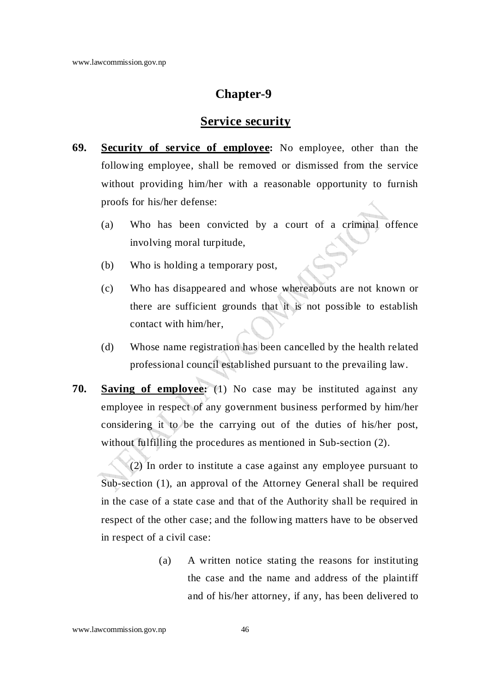### **Chapter-9**

#### **Service security**

- **69. Security of service of employee:** No employee, other than the following employee, shall be removed or dismissed from the service without providing him/her with a reasonable opportunity to furnish proofs for his/her defense:
	- (a) Who has been convicted by a court of a criminal offence involving moral turpitude,
	- (b) Who is holding a temporary post,
	- (c) Who has disappeared and whose whereabouts are not known or there are sufficient grounds that it is not possible to establish contact with him/her,
	- (d) Whose name registration has been cancelled by the health related professional council established pursuant to the prevailing law.
- **70. Saving of employee:** (1) No case may be instituted against any employee in respect of any government business performed by him/her considering it to be the carrying out of the duties of his/her post, without fulfilling the procedures as mentioned in Sub-section (2).

(2) In order to institute a case against any employee pursuant to Sub-section (1), an approval of the Attorney General shall be required in the case of a state case and that of the Authority shall be required in respect of the other case; and the following matters have to be observed in respect of a civil case:

> (a) A written notice stating the reasons for instituting the case and the name and address of the plaintiff and of his/her attorney, if any, has been delivered to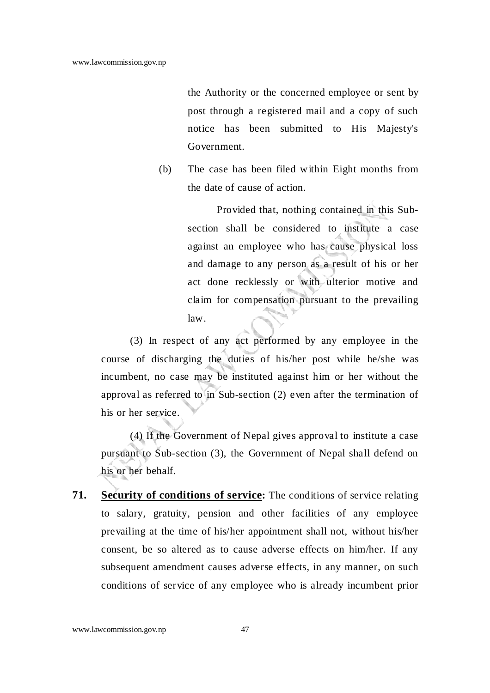the Authority or the concerned employee or sent by post through a registered mail and a copy of such notice has been submitted to His Majesty's Government.

(b) The case has been filed within Eight months from the date of cause of action.

> Provided that, nothing contained in this Subsection shall be considered to institute a case against an employee who has cause physical loss and damage to any person as a result of his or her act done recklessly or with ulterior motive and claim for compensation pursuant to the prevailing law.

(3) In respect of any act performed by any employee in the course of discharging the duties of his/her post while he/she was incumbent, no case may be instituted against him or her without the approval as referred to in Sub-section  $(2)$  even after the termination of his or her service.

(4) If the Government of Nepal gives approval to institute a case pursuant to Sub-section (3), the Government of Nepal shall defend on his or her behalf.

**71. Security of conditions of service:** The conditions of service relating to salary, gratuity, pension and other facilities of any employee prevailing at the time of his/her appointment shall not, without his/her consent, be so altered as to cause adverse effects on him/her. If any subsequent amendment causes adverse effects, in any manner, on such conditions of service of any employee who is already incumbent prior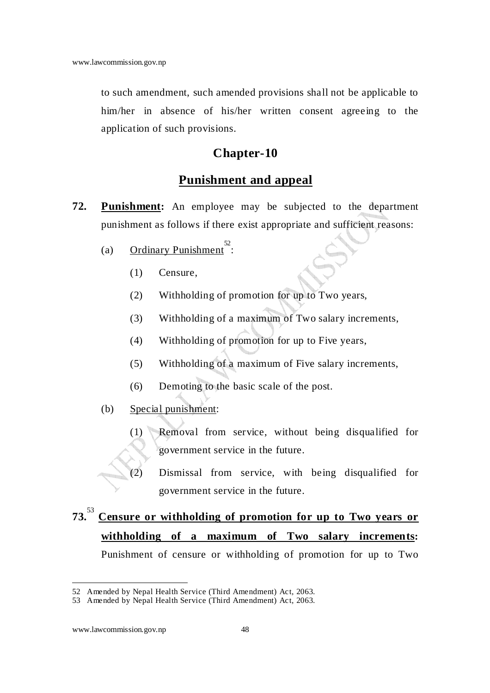to such amendment, such amended provisions shall not be applicable to him/her in absence of his/her written consent agreeing to the application of such provisions.

### **Chapter-10**

### **Punishment and appeal**

- **72. Punishment:** An employee may be subjected to the department punishment as follows if there exist appropriate and sufficient reasons:
	- (a) Ordinary Punishment<sup>52</sup>:
		- (1) Censure,
		- (2) Withholding of promotion for up to Two years,
		- (3) Withholding of a maximum of Two salary increments,
		- (4) Withholding of promotion for up to Five years,
		- (5) Withholding of a maximum of Five salary increments,
		- (6) Demoting to the basic scale of the post.
	- (b) Special punishment:
		- (1) Removal from service, without being disqualified for government service in the future.
		- (2) Dismissal from service, with being disqualified for government service in the future.

# **73.**<sup>53</sup> **Censure or withholding of promotion for up to Two years or withholding of a maximum of Two salary increments:** Punishment of censure or withholding of promotion for up to Two

<sup>52</sup> Amended by Nepal Health Service (Third Amendment) Act, 2063.

<sup>53</sup> Amended by Nepal Health Service (Third Amendment) Act, 2063.

www.lawcommission.gov.np 48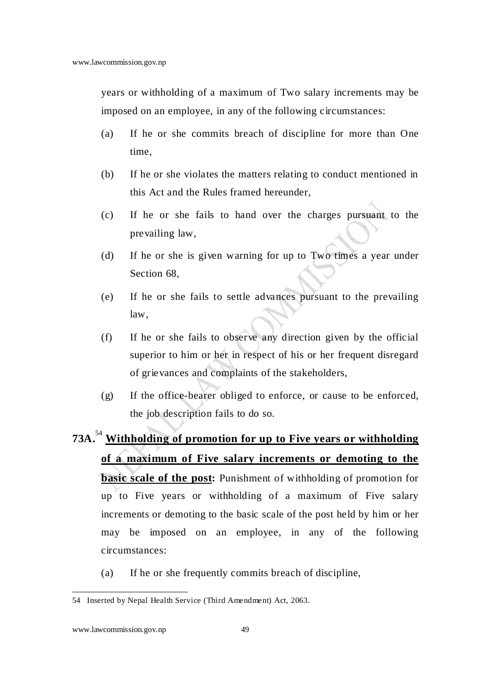years or withholding of a maximum of Two salary increments may be imposed on an employee, in any of the following circumstances:

- (a) If he or she commits breach of discipline for more than One time,
- (b) If he or she violates the matters relating to conduct mentioned in this Act and the Rules framed hereunder,
- (c) If he or she fails to hand over the charges pursuant to the prevailing law,
- (d) If he or she is given warning for up to Two times a year under Section 68,
- (e) If he or she fails to settle advances pursuant to the prevailing law,
- (f) If he or she fails to observe any direction given by the official superior to him or her in respect of his or her frequent disregard of grievances and complaints of the stakeholders,
- (g) If the office-bearer obliged to enforce, or cause to be enforced, the job description fails to do so.
- **73A.**<sup>54</sup> **Withholding of promotion for up to Five years or withholding of a maximum of Five salary increments or demoting to the basic scale of the post:** Punishment of withholding of promotion for up to Five years or withholding of a maximum of Five salary increments or demoting to the basic scale of the post held by him or her may be imposed on an employee, in any of the following circumstances:
	- (a) If he or she frequently commits breach of discipline,

 54 Inserted by Nepal Health Service (Third Amendment) Act, 2063.

www.lawcommission.gov.np 49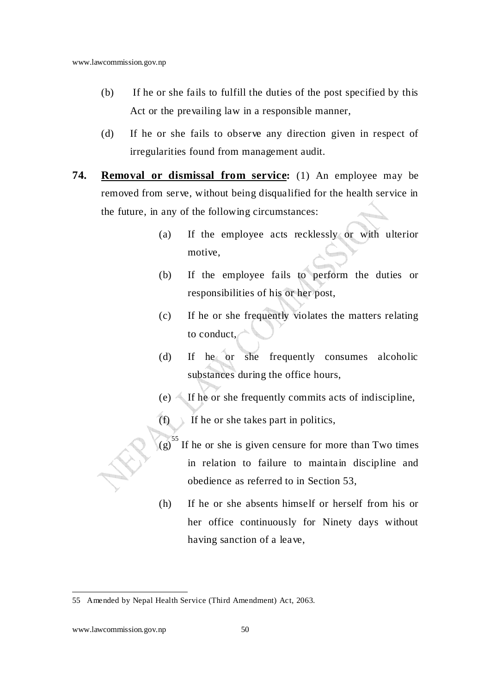- (b) If he or she fails to fulfill the duties of the post specified by this Act or the prevailing law in a responsible manner,
- (d) If he or she fails to observe any direction given in respect of irregularities found from management audit.
- **74. Removal or dismissal from service:** (1) An employee may be removed from serve, without being disqualified for the health service in the future, in any of the following circumstances:
	- (a) If the employee acts recklessly or with ulterior motive,
	- (b) If the employee fails to perform the duties or responsibilities of his or her post,
	- (c) If he or she frequently violates the matters relating to conduct,
	- (d) If he or she frequently consumes alcoholic substances during the office hours,
	- $(e)$  If he or she frequently commits acts of indiscipline,
	- $(f)$  If he or she takes part in politics,
	- $(g)$ <sup>55</sup> If he or she is given censure for more than Two times in relation to failure to maintain discipline and obedience as referred to in Section 53,
	- (h) If he or she absents himself or herself from his or her office continuously for Ninety days without having sanction of a leave,

<sup>55</sup> Amended by Nepal Health Service (Third Amendment) Act, 2063.

www.lawcommission.gov.np 50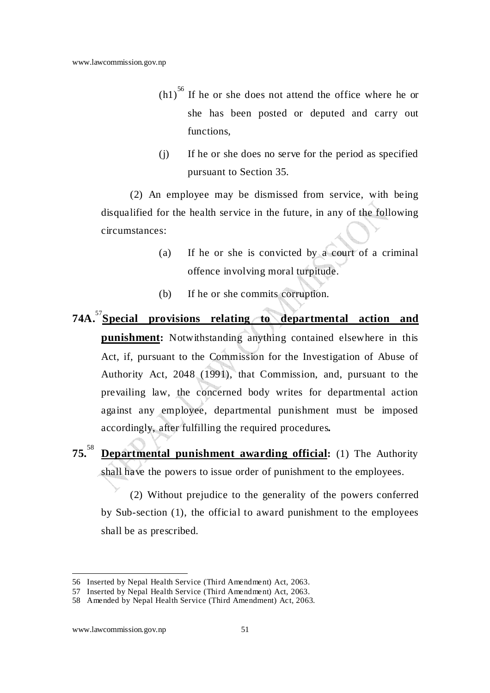- $(h1)<sup>56</sup>$  If he or she does not attend the office where he or she has been posted or deputed and carry out functions,
- (j) If he or she does no serve for the period as specified pursuant to Section 35.

(2) An employee may be dismissed from service, with being disqualified for the health service in the future, in any of the following circumstances:

- (a) If he or she is convicted by a court of a criminal offence involving moral turpitude.
- (b) If he or she commits corruption.
- **74A.**<sup>57</sup>**Special provisions relating to departmental action and punishment:** Notwithstanding anything contained elsewhere in this Act, if, pursuant to the Commission for the Investigation of Abuse of Authority Act, 2048 (1991), that Commission, and, pursuant to the prevailing law, the concerned body writes for departmental action against any employee, departmental punishment must be imposed accordingly, after fulfilling the required procedures**.**
- **75.**<sup>58</sup> **Departmental punishment awarding official:** (1) The Authority shall have the powers to issue order of punishment to the employees.

(2) Without prejudice to the generality of the powers conferred by Sub-section (1), the official to award punishment to the employees shall be as prescribed.

l 56 Inserted by Nepal Health Service (Third Amendment) Act, 2063.

<sup>57</sup> Inserted by Nepal Health Service (Third Amendment) Act, 2063.

<sup>58</sup> Amended by Nepal Health Service (Third Amendment) Act, 2063.

www.lawcommission.gov.np 51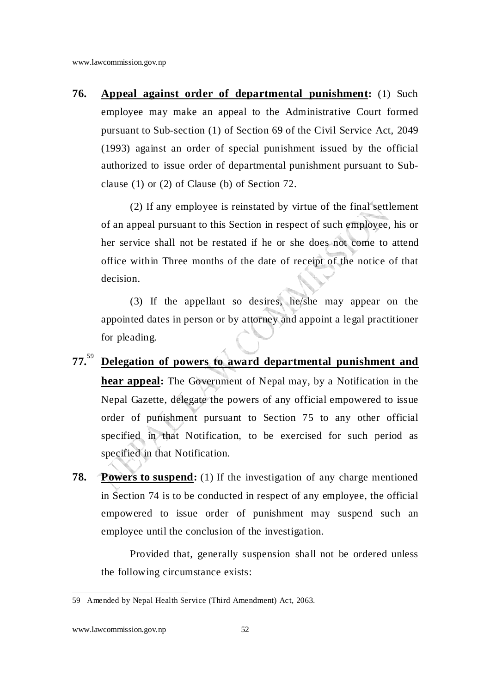**76. Appeal against order of departmental punishment:** (1) Such employee may make an appeal to the Administrative Court formed pursuant to Sub-section (1) of Section 69 of the Civil Service Act, 2049 (1993) against an order of special punishment issued by the official authorized to issue order of departmental punishment pursuant to Subclause (1) or (2) of Clause (b) of Section 72.

(2) If any employee is reinstated by virtue of the final settlement of an appeal pursuant to this Section in respect of such employee, his or her service shall not be restated if he or she does not come to attend office within Three months of the date of receipt of the notice of that decision.

(3) If the appellant so desires, he/she may appear on the appointed dates in person or by attorney and appoint a legal practitioner for pleading.

- **77.**<sup>59</sup> **Delegation of powers to award departmental punishment and hear appeal:** The Government of Nepal may, by a Notification in the Nepal Gazette, delegate the powers of any official empowered to issue order of punishment pursuant to Section 75 to any other official specified in that Notification, to be exercised for such period as specified in that Notification.
- **78. Powers to suspend:** (1) If the investigation of any charge mentioned in Section 74 is to be conducted in respect of any employee, the official empowered to issue order of punishment may suspend such an employee until the conclusion of the investigation.

Provided that, generally suspension shall not be ordered unless the following circumstance exists:

<sup>59</sup> Amended by Nepal Health Service (Third Amendment) Act, 2063.

www.lawcommission.gov.np 52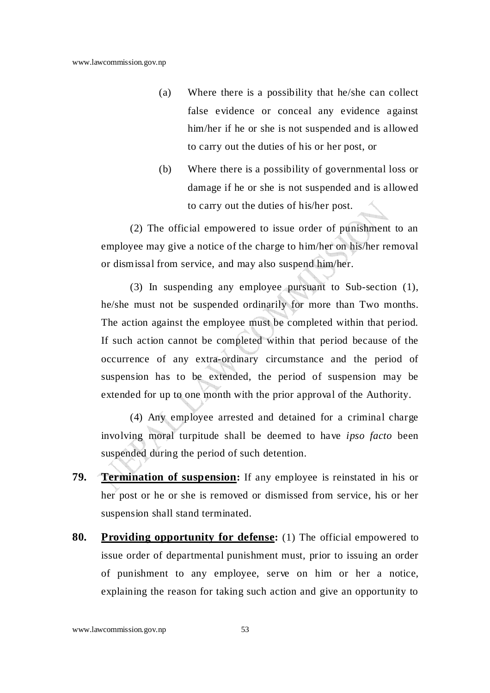- (a) Where there is a possibility that he/she can collect false evidence or conceal any evidence against him/her if he or she is not suspended and is allowed to carry out the duties of his or her post, or
- (b) Where there is a possibility of governmental loss or damage if he or she is not suspended and is allowed to carry out the duties of his/her post.

(2) The official empowered to issue order of punishment to an employee may give a notice of the charge to him/her on his/her removal or dismissal from service, and may also suspend him/her.

(3) In suspending any employee pursuant to Sub-section (1), he/she must not be suspended ordinarily for more than Two months. The action against the employee must be completed within that period. If such action cannot be completed within that period because of the occurrence of any extra-ordinary circumstance and the period of suspension has to be extended, the period of suspension may be extended for up to one month with the prior approval of the Authority.

(4) Any employee arrested and detained for a criminal charge involving moral turpitude shall be deemed to have *ipso facto* been suspended during the period of such detention.

- **79. Termination of suspension:** If any employee is reinstated in his or her post or he or she is removed or dismissed from service, his or her suspension shall stand terminated.
- **80. Providing opportunity for defense:** (1) The official empowered to issue order of departmental punishment must, prior to issuing an order of punishment to any employee, serve on him or her a notice, explaining the reason for taking such action and give an opportunity to

www.lawcommission.gov.np 53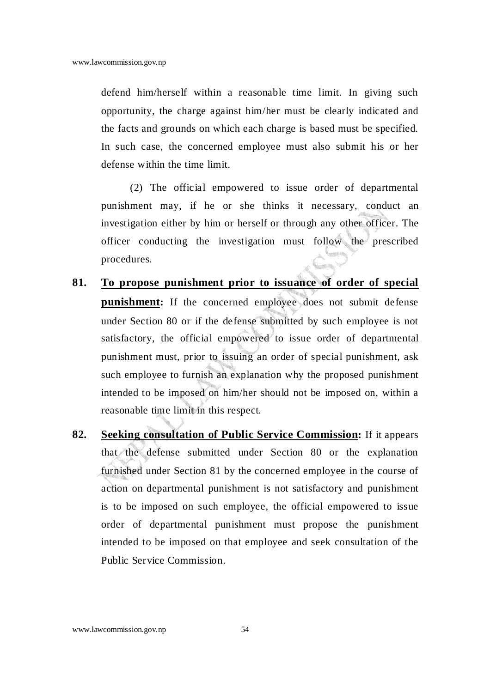defend him/herself within a reasonable time limit. In giving such opportunity, the charge against him/her must be clearly indicated and the facts and grounds on which each charge is based must be specified. In such case, the concerned employee must also submit his or her defense within the time limit.

(2) The official empowered to issue order of departmental punishment may, if he or she thinks it necessary, conduct an investigation either by him or herself or through any other officer. The officer conducting the investigation must follow the prescribed procedures.

- **81. To propose punishment prior to issuance of order of special punishment:** If the concerned employee does not submit defense under Section 80 or if the defense submitted by such employee is not satisfactory, the official empowered to issue order of departmental punishment must, prior to issuing an order of special punishment, ask such employee to furnish an explanation why the proposed punishment intended to be imposed on him/her should not be imposed on, within a reasonable time limit in this respect.
- **82. Seeking consultation of Public Service Commission:** If it appears that the defense submitted under Section 80 or the explanation furnished under Section 81 by the concerned employee in the course of action on departmental punishment is not satisfactory and punishment is to be imposed on such employee, the official empowered to issue order of departmental punishment must propose the punishment intended to be imposed on that employee and seek consultation of the Public Service Commission.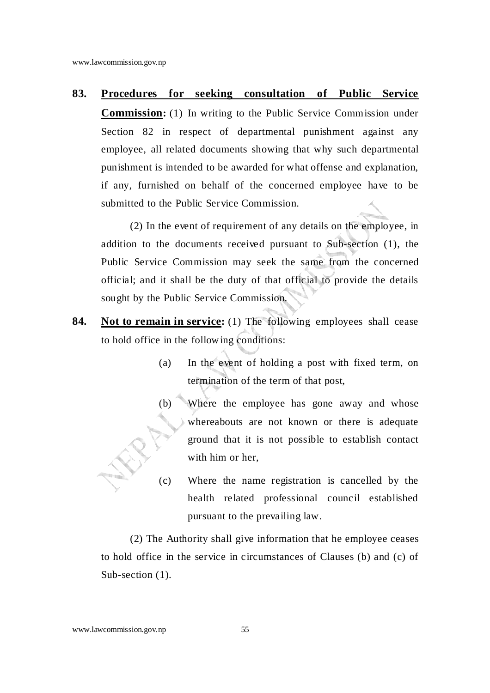**83. Procedures for seeking consultation of Public Service** 

**Commission:** (1) In writing to the Public Service Commission under Section 82 in respect of departmental punishment against any employee, all related documents showing that why such departmental punishment is intended to be awarded for what offense and explanation, if any, furnished on behalf of the concerned employee have to be submitted to the Public Service Commission.

(2) In the event of requirement of any details on the employee, in addition to the documents received pursuant to Sub-section (1), the Public Service Commission may seek the same from the concerned official; and it shall be the duty of that official to provide the details sought by the Public Service Commission.

- **84.** Not to remain in service: (1) The following employees shall cease to hold office in the following conditions:
	- (a) In the event of holding a post with fixed term, on termination of the term of that post,
	- (b) Where the employee has gone away and whose whereabouts are not known or there is adequate ground that it is not possible to establish contact with him or her,
	- (c) Where the name registration is cancelled by the health related professional council established pursuant to the prevailing law.

(2) The Authority shall give information that he employee ceases to hold office in the service in circumstances of Clauses (b) and (c) of Sub-section  $(1)$ .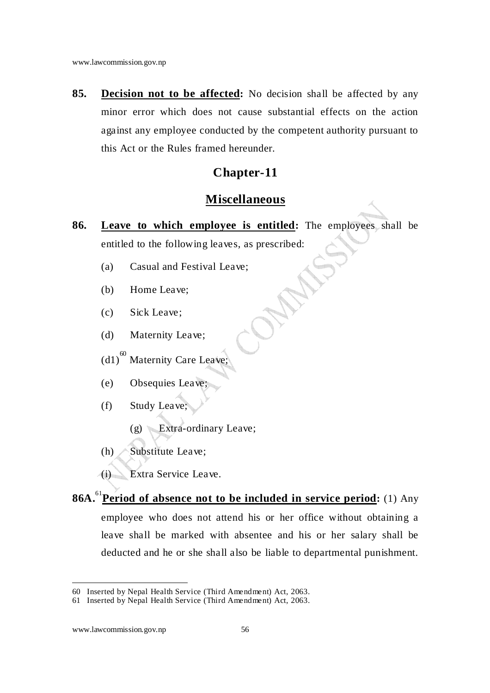**85. Decision not to be affected:** No decision shall be affected by any minor error which does not cause substantial effects on the action against any employee conducted by the competent authority pursuant to this Act or the Rules framed hereunder.

#### **Chapter-11**

#### **Miscellaneous**

- **86. Leave to which employee is entitled:** The employees shall be entitled to the following leaves, as prescribed:
	- (a) Casual and Festival Leave;
	- (b) Home Leave;
	- (c) Sick Leave;
	- (d) Maternity Leave;
	- $(d1)^{60}$  Maternity Care Leave;
	- (e) Obsequies Leave;
	- (f) Study Leave;
		- (g) Extra-ordinary Leave;
	- (h) Substitute Leave;
	- (i) Extra Service Leave.
- **86A.**<sup>61</sup>**Period of absence not to be included in service period:** (1) Any employee who does not attend his or her office without obtaining a leave shall be marked with absentee and his or her salary shall be deducted and he or she shall also be liable to departmental punishment.

<sup>60</sup> Inserted by Nepal Health Service (Third Amendment) Act, 2063.

<sup>61</sup> Inserted by Nepal Health Service (Third Amendment) Act, 2063.

www.lawcommission.gov.np 56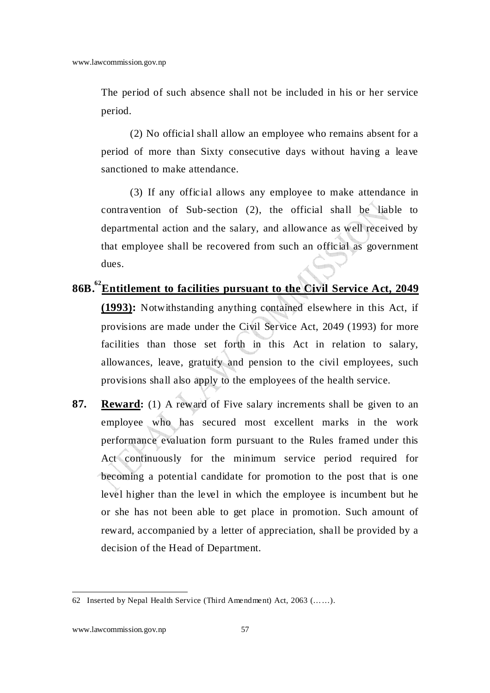The period of such absence shall not be included in his or her service period.

(2) No official shall allow an employee who remains absent for a period of more than Sixty consecutive days without having a leave sanctioned to make attendance.

 (3) If any official allows any employee to make attendance in contravention of Sub-section (2), the official shall be liable to departmental action and the salary, and allowance as well received by that employee shall be recovered from such an official as government dues.

- **86B.<sup>62</sup>Entitlement to facilities pursuant to the Civil Service Act, 2049 (1993):** Notwithstanding anything contained elsewhere in this Act, if provisions are made under the Civil Service Act, 2049 (1993) for more facilities than those set forth in this Act in relation to salary, allowances, leave, gratuity and pension to the civil employees, such provisions shall also apply to the employees of the health service.
- **87. Reward:** (1) A reward of Five salary increments shall be given to an employee who has secured most excellent marks in the work performance evaluation form pursuant to the Rules framed under this Act continuously for the minimum service period required for becoming a potential candidate for promotion to the post that is one level higher than the level in which the employee is incumbent but he or she has not been able to get place in promotion. Such amount of reward, accompanied by a letter of appreciation, shall be provided by a decision of the Head of Department.

<sup>62</sup> Inserted by Nepal Health Service (Third Amendment) Act, 2063 (……).

www.lawcommission.gov.np 57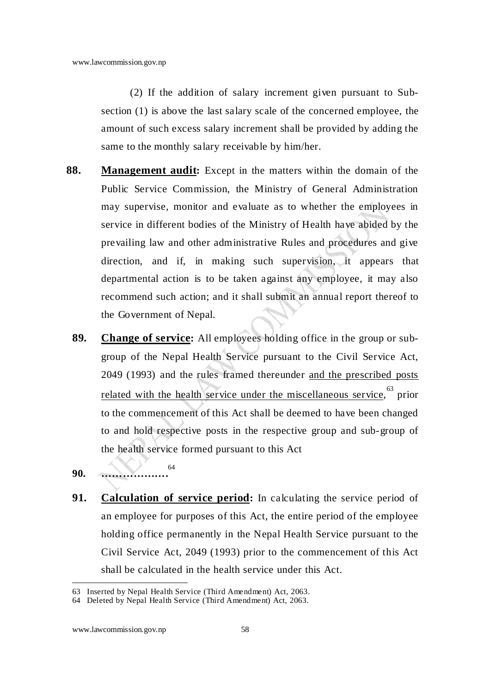(2) If the addition of salary increment given pursuant to Subsection (1) is above the last salary scale of the concerned employee, the amount of such excess salary increment shall be provided by adding the same to the monthly salary receivable by him/her.

- **88. Management audit:** Except in the matters within the domain of the Public Service Commission, the Ministry of General Administration may supervise, monitor and evaluate as to whether the employees in service in different bodies of the Ministry of Health have abided by the prevailing law and other administrative Rules and procedures and give direction, and if, in making such supervision, it appears that departmental action is to be taken against any employee, it may also recommend such action; and it shall submit an annual report thereof to the Government of Nepal.
	- **89. Change of service:** All employees holding office in the group or subgroup of the Nepal Health Service pursuant to the Civil Service Act, 2049 (1993) and the rules framed thereunder and the prescribed posts related with the health service under the miscellaneous service, <sup>63</sup> prior to the commencement of this Act shall be deemed to have been changed to and hold respective posts in the respective group and sub-group of the health service formed pursuant to this Act
	- **90. ……………….** 64
	- **91. Calculation of service period:** In calculating the service period of an employee for purposes of this Act, the entire period of the employee holding office permanently in the Nepal Health Service pursuant to the Civil Service Act, 2049 (1993) prior to the commencement of this Act shall be calculated in the health service under this Act.

<sup>63</sup> Inserted by Nepal Health Service (Third Amendment) Act, 2063.

<sup>64</sup> Deleted by Nepal Health Service (Third Amendment) Act, 2063.

www.lawcommission.gov.np 58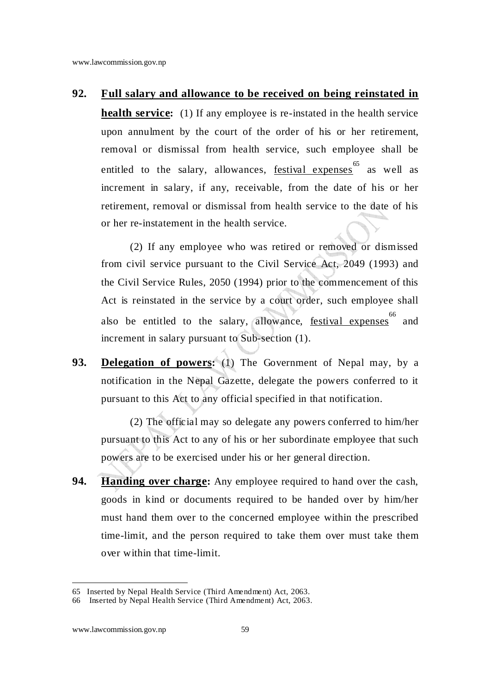#### **92. Full salary and allowance to be received on being reinstated in**

**health service:** (1) If any employee is re-instated in the health service upon annulment by the court of the order of his or her retirement, removal or dismissal from health service, such employee shall be entitled to the salary, allowances, <u>festival expenses</u> as well as increment in salary, if any, receivable, from the date of his or her retirement, removal or dismissal from health service to the date of his or her re-instatement in the health service.

(2) If any employee who was retired or removed or dismissed from civil service pursuant to the Civil Service Act, 2049 (1993) and the Civil Service Rules, 2050 (1994) prior to the commencement of this Act is reinstated in the service by a court order, such employee shall also be entitled to the salary, allowance, **festival expenses** <sup>66</sup> and increment in salary pursuant to Sub-section (1).

**93. Delegation of powers:** (1) The Government of Nepal may, by a notification in the Nepal Gazette, delegate the powers conferred to it pursuant to this Act to any official specified in that notification.

(2) The official may so delegate any powers conferred to him/her pursuant to this Act to any of his or her subordinate employee that such powers are to be exercised under his or her general direction.

**94. Handing over charge:** Any employee required to hand over the cash, goods in kind or documents required to be handed over by him/her must hand them over to the concerned employee within the prescribed time-limit, and the person required to take them over must take them over within that time-limit.

<sup>65</sup> Inserted by Nepal Health Service (Third Amendment) Act, 2063.

<sup>66</sup> Inserted by Nepal Health Service (Third Amendment) Act, 2063.

www.lawcommission.gov.np 59